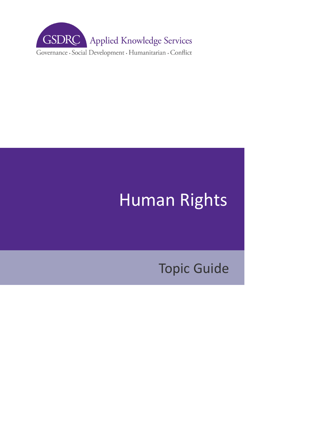

# Human Rights

# Topic Guide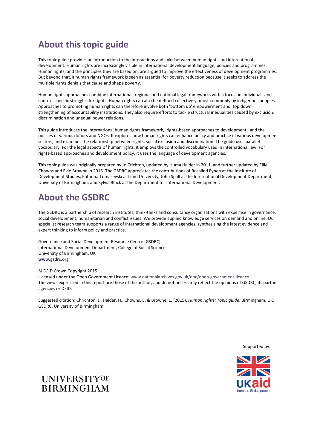## **About this topic guide**

This topic guide provides an introduction to the interactions and links between human rights and international development. Human rights are increasingly visible in international development language, policies and programmes. Human rights, and the principles they are based on, are argued to improve the effectiveness of development programmes. But beyond that, a human rights framework is seen as essential for poverty reduction because it seeks to address the multiple rights denials that cause and shape poverty.

Human rights approaches combine international, regional and national legal frameworks with a focus on individuals and context-specific struggles for rights. Human rights can also be defined collectively, most commonly by indigenous peoples. Approaches to promoting human rights can therefore involve both 'bottom up' empowerment and 'top down' strengthening of accountability institutions. They also require efforts to tackle structural inequalities caused by exclusion, discrimination and unequal power relations.

This guide introduces the international human rights framework, 'rights-based approaches to development', and the policies of various donors and NGOs. It explores how human rights can enhance policy and practice in various development sectors, and examines the relationship between rights, social exclusion and discrimination. The guide uses parallel vocabulary. For the legal aspects of human rights, it employs the controlled vocabulary used in international law. For rights-based approaches and development policy, it uses the language of development agencies.

This topic guide was originally prepared by Jo Crichton, updated by Huma Haider in 2011, and further updated by Ellie Chowns and Evie Browne in 2015. The GSDRC appreciates the contributions of Rosalind Eyben at the Institute of Development Studies, Katarina Tomasevski at Lund University, John Spall at the International Development Department, University of Birmingham, and Sylvia Bluck at the Department for International Development.

## **About the GSDRC**

The GSDRC is a partnership of research institutes, think-tanks and consultancy organisations with expertise in governance, social development, humanitarian and conflict issues. We provide applied knowledge services on demand and online. Our specialist research team supports a range of international development agencies, synthesising the latest evidence and expert thinking to inform policy and practice.

Governance and Social Development Resource Centre (GSDRC) International Development Department, College of Social Sciences University of Birmingham, UK **[www.gsdrc.org](http://www.gsdrc.org/)** 

#### © DFID Crown Copyright 2015

Licensed under the Open Government Licence[: www.nationalarchives.gov.uk/doc/open-government-licence](http://www.nationalarchives.gov.uk/doc/open-government-licence)  The views expressed in this report are those of the author, and do not necessarily reflect the opinions of GSDRC, its partner agencies or DFID.

Suggested citation: Chrichton, J., Haider, H., Chowns, E. & Browne, E. (2015). *Human rights: Topic guide*. Birmingham, UK: GSDRC, University of Birmingham.

Supported by:



## **UNIVERSITYOF BIRMINGHAM**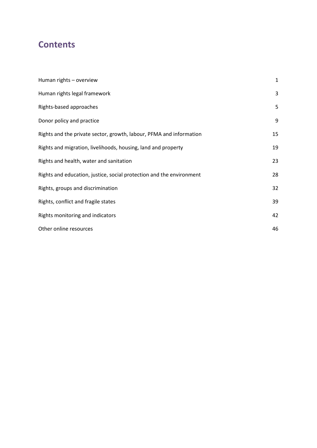## **Contents**

| Human rights - overview                                              | $\mathbf{1}$ |
|----------------------------------------------------------------------|--------------|
| Human rights legal framework                                         | 3            |
| Rights-based approaches                                              | 5            |
| Donor policy and practice                                            | 9            |
| Rights and the private sector, growth, labour, PFMA and information  | 15           |
| Rights and migration, livelihoods, housing, land and property        | 19           |
| Rights and health, water and sanitation                              | 23           |
| Rights and education, justice, social protection and the environment | 28           |
| Rights, groups and discrimination                                    | 32           |
| Rights, conflict and fragile states                                  | 39           |
| Rights monitoring and indicators                                     | 42           |
| Other online resources                                               | 46           |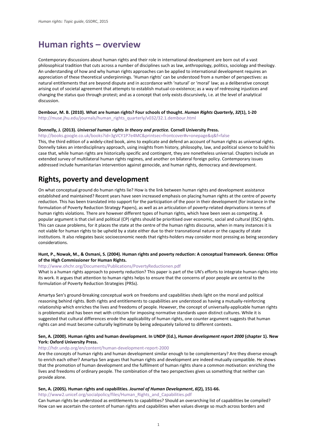## <span id="page-3-0"></span>**Human rights – overview**

Contemporary discussions about human rights and their role in international development are born out of a vast philosophical tradition that cuts across a number of disciplines such as law, anthropology, politics, sociology and theology. An understanding of how and why human rights approaches can be applied to international development requires an appreciation of these theoretical underpinnings. 'Human rights' can be understood from a number of perspectives: as natural entitlements that are beyond dispute and in accordance with 'natural' or 'moral' law; as a deliberative concept arising out of societal agreement that attempts to establish mutual-co-existence; as a way of redressing injustices and changing the status quo through protest; and as a concept that only exists discursively, i.e. at the level of analytical discussion.

**Dembour, M. B. (2010). What are human rights? Four schools of thought.** *Human Rights Quarterly***,** *32***(1), 1-20**  [http://muse.jhu.edu/journals/human\\_rights\\_quarterly/v032/32.1.dembour.html](http://muse.jhu.edu/journals/human_rights_quarterly/v032/32.1.dembour.html)

#### **Donnelly, J. (2013).** *Universal human rights in theory and practice.* **Cornell University Press.**

[http://books.google.co.uk/books?id=3gVCY1P7e4MC&printsec=frontcover#v=onepage&q&f=false](http://books.google.co.uk/books?id=3gVCY1P7e4MC&printsec=frontcover%23v=onepage&q&f=false) This, the third edition of a widely-cited book, aims to explicate and defend an account of human rights as universal rights. Donnelly takes an interdisciplinary approach, using insights from history, philosophy, law, and political science to build his case that, while human rights are historically specific and contingent, they are nonetheless universal. Chapters include an extended survey of multilateral human rights regimes, and another on bilateral foreign policy. Contemporary issues

addressed include humanitarian intervention against genocide, and human rights, democracy and development.

## **Rights, poverty and development**

On what conceptual ground do human rights lie? How is the link between human rights and development assistance established and maintained? Recent years have seen increased emphasis on placing human rights at the centre of poverty reduction. This has been translated into support for the participation of the poor in their development (for instance in the formulation of Poverty Reduction Strategy Papers), as well as an articulation of poverty-related deprivations in terms of human rights violations. There are however different types of human rights, which have been seen as competing. A popular argument is that civil and political (CP) rights should be prioritised over economic, social and cultural (ESC) rights. This can cause problems, for it places the state at the centre of the human rights discourse, when in many instances it is not viable for human rights to be upheld by a state either due to their transnational nature or the capacity of state institutions. It also relegates basic socioeconomic needs that rights-holders may consider most pressing as being secondary considerations.

#### **Hunt, P., Nowak, M., & Osmani, S. (2004). Human rights and poverty reduction: A conceptual framework. Geneva: Office of the High Commissioner for Human Rights.**

#### <http://www.ohchr.org/Documents/Publications/PovertyReductionen.pdf>

What is a human rights approach to poverty reduction? This paper is part of the UN's efforts to integrate human rights into its work. It argues that attention to human rights helps to ensure that the concerns of poor people are central to the formulation of Poverty Reduction Strategies (PRSs).

Amartya Sen's ground-breaking conceptual work on freedoms and capabilities sheds light on the moral and political reasoning behind rights. Both rights and entitlements to capabilities are understood as having a mutually-reinforcing relationship which enriches the lives and freedoms of people. However, the concept of universally-applicable human rights is problematic and has been met with criticism for imposing normative standards upon distinct cultures. While it is suggested that cultural differences erode the applicability of human rights, one counter argument suggests that human rights can and must become culturally legitimate by being adequately tailored to different contexts.

#### **Sen, A. (2000). Human rights and human development. In UNDP (Ed.),** *Human development report 2000* **(chapter 1). New York: Oxford University Press.**

#### <http://hdr.undp.org/en/content/human-development-report-2000>

Are the concepts of human rights and human development similar enough to be complementary? Are they diverse enough to enrich each other? Amartya Sen argues that human rights and development are indeed mutually compatible. He shows that the promotion of human development and the fulfilment of human rights share a common motivation: enriching the lives and freedoms of ordinary people. The combination of the two perspectives gives us something that neither can provide alone.

#### **Sen, A. (2005). Human rights and capabilities.** *Journal of Human Development***,** *6***(2), 151-66.**

[http://www2.unicef.org/socialpolicy/files/Human\\_Rights\\_and\\_Capabilities.pdf](http://www2.unicef.org/socialpolicy/files/Human_Rights_and_Capabilities.pdf) 

Can human rights be understood as entitlements to capabilities? Should an overarching list of capabilities be compiled? How can we ascertain the content of human rights and capabilities when values diverge so much across borders and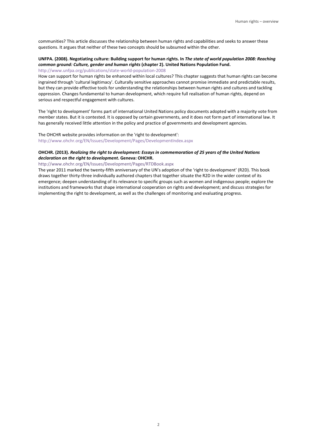communities? This article discusses the relationship between human rights and capabilities and seeks to answer these questions. It argues that neither of these two concepts should be subsumed within the other.

### **UNFPA. (2008). Negotiating culture: Building support for human rights. In** *The state of world population 2008: Reaching common ground: Culture, gender and human rights* **(chapter 2). United Nations Population Fund.**

<http://www.unfpa.org/publications/state-world-population-2008>

How can support for human rights be enhanced within local cultures? This chapter suggests that human rights can become ingrained through 'cultural legitimacy'. Culturally sensitive approaches cannot promise immediate and predictable results, but they can provide effective tools for understanding the relationships between human rights and cultures and tackling oppression. Changes fundamental to human development, which require full realisation of human rights, depend on serious and respectful engagement with cultures.

The 'right to development' forms part of international United Nations policy documents adopted with a majority vote from member states. But it is contested. It is opposed by certain governments, and it does not form part of international law. It has generally received little attention in the policy and practice of governments and development agencies.

The OHCHR website provides information on the 'right to development': <http://www.ohchr.org/EN/Issues/Development/Pages/DevelopmentIndex.aspx>

#### **OHCHR. (2013).** *Realizing the right to development: Essays in commemoration of 25 years of the United Nations declaration on the right to development***. Geneva: OHCHR.**

<http://www.ohchr.org/EN/Issues/Development/Pages/RTDBook.aspx>

The year 2011 marked the twenty-fifth anniversary of the UN's adoption of the 'right to development' (R2D). This book draws together thirty-three individually authored chapters that together situate the R2D in the wider context of its emergence; deepen understanding of its relevance to specific groups such as women and indigenous people; explore the institutions and frameworks that shape international cooperation on rights and development; and discuss strategies for implementing the right to development, as well as the challenges of monitoring and evaluating progress.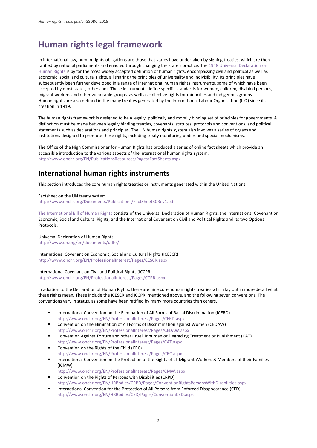## <span id="page-5-0"></span>**Human rights legal framework**

In international law, human rights obligations are those that states have undertaken by signing treaties, which are then ratified by national parliaments and enacted through changing the state's practice. The 1948 Universal Declaration on [Human Rights](http://www.un.org/en/documents/udhr/) is by far the most widely accepted definition of human rights, encompassing civil and political as well as economic, social and cultural rights, all sharing the principles of universality and indivisibility. Its principles have subsequently been further developed in a range of international human rights instruments, some of which have been accepted by most states, others not. These instruments define specific standards for women, children, disabled persons, migrant workers and other vulnerable groups, as well as collective rights for minorities and indigenous groups. Human rights are also defined in the many treaties generated by the International Labour Organisation (ILO) since its creation in 1919.

The human rights framework is designed to be a legally, politically and morally binding set of principles for governments. A distinction must be made between legally binding treaties, covenants, statutes, protocols and conventions, and political statements such as declarations and principles. The UN human rights system also involves a series of organs and institutions designed to promote these rights, including treaty monitoring bodies and special mechanisms.

The Office of the High Commissioner for Human Rights has produced a series of online fact sheets which provide an accessible introduction to the various aspects of the international human rights system. <http://www.ohchr.org/EN/PublicationsResources/Pages/FactSheets.aspx>

## **International human rights instruments**

This section introduces the core human rights treaties or instruments generated within the United Nations.

Factsheet on the UN treaty system <http://www.ohchr.org/Documents/Publications/FactSheet30Rev1.pdf>

[The International Bill of Human Rights](http://www.ohchr.org/Documents/Publications/FactSheet2Rev.1en.pdf) consists of the Universal Declaration of Human Rights, the International Covenant on Economic, Social and Cultural Rights, and the International Covenant on Civil and Political Rights and its two Optional **Protocols** 

Universal Declaration of Human Rights <http://www.un.org/en/documents/udhr/>

International Covenant on Economic, Social and Cultural Rights (ICESCR) <http://www.ohchr.org/EN/ProfessionalInterest/Pages/CESCR.aspx>

International Covenant on Civil and Political Rights (ICCPR) <http://www.ohchr.org/EN/ProfessionalInterest/Pages/CCPR.aspx>

In addition to the Declaration of Human Rights, there are nine core human rights treaties which lay out in more detail what these rights mean. These include the ICESCR and ICCPR, mentioned above, and the following seven conventions. The conventions vary in status, as some have been ratified by many more countries than others.

- International Convention on the Elimination of All Forms of Racial Discrimination (ICERD) <http://www.ohchr.org/EN/ProfessionalInterest/Pages/CERD.aspx>
- Convention on the Elimination of All Forms of Discrimination against Women (CEDAW) <http://www.ohchr.org/EN/ProfessionalInterest/Pages/CEDAW.aspx>
- Convention Against Torture and other Cruel, Inhuman or Degrading Treatment or Punishment (CAT) <http://www.ohchr.org/EN/ProfessionalInterest/Pages/CAT.aspx>
- Convention on the Rights of the Child (CRC) <http://www.ohchr.org/EN/ProfessionalInterest/Pages/CRC.aspx>
- International Convention on the Protection of the Rights of all Migrant Workers & Members of their Families (ICMW)
- <http://www.ohchr.org/EN/ProfessionalInterest/Pages/CMW.aspx> Convention on the Rights of Persons with Disabilities (CRPD) <http://www.ohchr.org/EN/HRBodies/CRPD/Pages/ConventionRightsPersonsWithDisabilities.aspx>
- International Convention for the Protection of All Persons from Enforced Disappearance (CED) <http://www.ohchr.org/EN/HRBodies/CED/Pages/ConventionCED.aspx>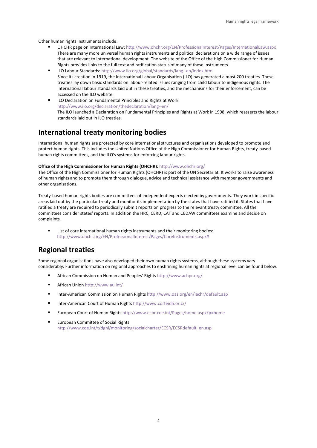Other human rights instruments include:

- OHCHR page on International Law:<http://www.ohchr.org/EN/ProfessionalInterest/Pages/InternationalLaw.aspx> There are many more universal human rights instruments and political declarations on a wide range of issues that are relevant to international development. The website of the Office of the High Commissioner for Human Rights provides links to the full text and ratification status of many of these instruments.
- ILO Labour Standards[: http://www.ilo.org/global/standards/lang--en/index.htm](http://www.ilo.org/global/standards/lang--en/index.htm) Since its creation in 1919, the International Labour Organisation (ILO) has generated almost 200 treaties. These treaties lay down basic standards on labour-related issues ranging from child labour to indigenous rights. The international labour standards laid out in these treaties, and the mechanisms for their enforcement, can be accessed on the ILO website.
- ILO Declaration on Fundamental Principles and Rights at Work: <http://www.ilo.org/declaration/thedeclaration/lang--en/> The ILO launched a Declaration on Fundamental Principles and Rights at Work in 1998, which reasserts the labour standards laid out in ILO treaties.

## **International treaty monitoring bodies**

International human rights are protected by core international structures and organisations developed to promote and protect human rights. This includes the United Nations Office of the High Commissioner for Human Rights, treaty-based human rights committees, and the ILO's systems for enforcing labour rights.

#### **Office of the High Commissioner for Human Rights (OHCHR):** <http://www.ohchr.org/>

The Office of the High Commissioner for Human Rights (OHCHR) is part of the UN Secretariat. It works to raise awareness of human rights and to promote them through dialogue, advice and technical assistance with member governments and other organisations.

Treaty-based human rights bodies are committees of independent experts elected by governments. They work in specific areas laid out by the particular treaty and monitor its implementation by the states that have ratified it. States that have ratified a treaty are required to periodically submit reports on progress to the relevant treaty committee. All the committees consider states' reports. In addition the HRC, CERD, CAT and CEDAW committees examine and decide on complaints.

 List of core international human rights instruments and their monitoring bodies: [http://www.ohchr.org/EN/ProfessionalInterest/Pages/CoreInstruments.aspx#](http://www.ohchr.org/EN/ProfessionalInterest/Pages/CoreInstruments.aspx)

## **Regional treaties**

Some regional organisations have also developed their own human rights systems, although these systems vary considerably. Further information on regional approaches to enshrining human rights at regional level can be found below.

- African Commission on Human and Peoples' Rights <http://www.achpr.org/>
- African Union <http://www.au.int/>
- Inter-American Commission on Human Rights <http://www.oas.org/en/iachr/default.asp>
- Inter-American Court of Human Rights <http://www.corteidh.or.cr/>
- European Court of Human Rights <http://www.echr.coe.int/Pages/home.aspx?p=home>
- **European Committee of Social Rights** [http://www.coe.int/t/dghl/monitoring/socialcharter/ECSR/ECSRdefault\\_en.asp](http://www.coe.int/t/dghl/monitoring/socialcharter/ECSR/ECSRdefault_en.asp)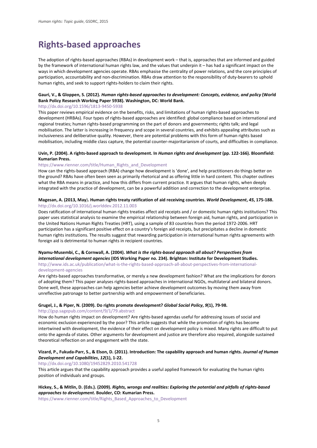## <span id="page-7-0"></span>**Rights-based approaches**

The adoption of rights-based approaches (RBAs) in development work – that is, approaches that are informed and guided by the framework of international human rights law, and the values that underpin it – has had a significant impact on the ways in which development agencies operate. RBAs emphasise the centrality of power relations, and the core principles of participation, accountability and non-discrimination. RBAs draw attention to the responsibility of duty-bearers to uphold human rights, and seek to support rights-holders to claim their rights.

#### **Gauri, V., & Gloppen, S. (2012).** *Human rights-based approaches to development: Concepts, evidence, and policy* **(World Bank Policy Research Working Paper 5938). Washington, DC: World Bank.**

#### <http://dx.doi.org/10.1596/1813-9450-5938>

This paper reviews empirical evidence on the benefits, risks, and limitations of human rights-based approaches to development (HRBAs). Four types of rights-based approaches are identified: global compliance based on international and regional treaties; human rights-based programming on the part of donors and governments; rights talk; and legal mobilisation. The latter is increasing in frequency and scope in several countries, and exhibits appealing attributes such as inclusiveness and deliberative quality. However, there are potential problems with this form of human rights based mobilisation, including middle class capture, the potential counter-majoritarianism of courts, and difficulties in compliance.

#### **Uvin, P. (2004). A rights-based approach to development. In** *Human rights and development* **(pp. 122-166). Bloomfield: Kumarian Press.**

#### [https://www.rienner.com/title/Human\\_Rights\\_and\\_Development](https://www.rienner.com/title/Human_Rights_and_Development)

How can the rights-based approach (RBA) change how development is 'done', and help practitioners do things better on the ground? RBAs have often been seen as primarily rhetorical and as offering little in hard content. This chapter outlines what the RBA means in practice, and how this differs from current practice. It argues that human rights, when deeply integrated with the practice of development, can be a powerful addition and correction to the development enterprise.

#### **Magesan, A. (2013, May**)**. Human rights treaty ratification of aid receiving countries.** *World Development***,** *45***, 175-188.**  <http://dx.doi.org/10.1016/j.worlddev.2012.11.003>

Does ratification of international human rights treaties affect aid receipts and / or domestic human rights institutions? This paper uses statistical analysis to examine the empirical relationship between foreign aid, human rights, and participation in the United Nations Human Rights Treaties (HRT), using a sample of 83 countries from the period 1972-2006. HRT participation has a significant positive effect on a country's foreign aid receipts, but precipitates a decline in domestic human rights institutions. The results suggest that rewarding participation in international human rights agreements with foreign aid is detrimental to human rights in recipient countries.

#### **Nyamu-Musembi, C., & Cornwall, A. (2004).** *What is the rights-based approach all about? Perspectives from*

*international development agencies* **(IDS Working Paper no. 234). Brighton: Institute for Development Studies.**  [http://www.ids.ac.uk/publication/what-is-the-rights-based-approach-all-about-perspectives-from-international](http://www.ids.ac.uk/publication/what-is-the-rights-based-approach-all-about-perspectives-from-international-development-agencies)[development-agencies](http://www.ids.ac.uk/publication/what-is-the-rights-based-approach-all-about-perspectives-from-international-development-agencies) 

Are rights-based approaches transformative, or merely a new development fashion? What are the implications for donors of adopting them? This paper analyses rights-based approaches in international NGOs, multilateral and bilateral donors. Done well, these approaches can help agencies better achieve development outcomes by moving them away from unreflective patronage to better partnership with and empowerment of beneficiaries.

#### **Grugel, J., & Piper, N. (2009). Do rights promote development?** *Global Social Policy***,** *9***(1), 79-98.**

#### <http://gsp.sagepub.com/content/9/1/79.abstract>

How do human rights impact on development? Are rights-based agendas useful for addressing issues of social and economic exclusion experienced by the poor? This article suggests that while the promotion of rights has become intertwined with development, the evidence of their effect on development policy is mixed. Many rights are difficult to put onto the agenda of states. Other arguments for development and justice are therefore also required, alongside sustained theoretical reflection on and engagement with the state.

#### **Vizard, P., Fukuda-Parr, S., & Elson, D. (2011). Introduction: The capability approach and human rights.** *Journal of Human Development and Capabilities***,** *12***(1), 1-22.**

#### <http://dx.doi.org/10.1080/19452829.2010.541728>

This article argues that the capability approach provides a useful applied framework for evaluating the human rights position of individuals and groups.

#### **Hickey, S., & Mitlin, D. (Eds.). (2009).** *Rights, wrongs and realities: Exploring the potential and pitfalls of rights-based approaches to development.* **Boulder, CO: Kumarian Press.**

[https://www.rienner.com/title/Rights\\_Based\\_Approaches\\_to\\_Development](https://www.rienner.com/title/Rights_Based_Approaches_to_Development)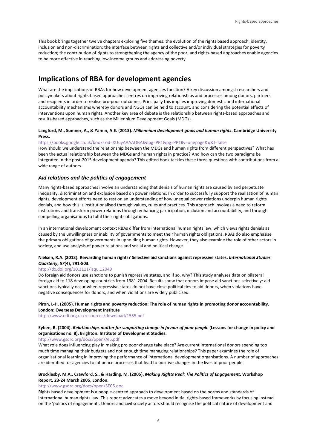This book brings together twelve chapters exploring five themes: the evolution of the rights based approach; identity, inclusion and non-discrimination; the interface between rights and collective and/or individual strategies for poverty reduction; the contribution of rights to strengthening the agency of the poor; and rights-based approaches enable agencies to be more effective in reaching low-income groups and addressing poverty.

## **Implications of RBA for development agencies**

What are the implications of RBAs for how development agencies function? A key discussion amongst researchers and policymakers about rights-based approaches centres on improving relationships and processes among donors, partners and recipients in order to realise pro-poor outcomes. Principally this implies improving domestic and international accountability mechanisms whereby donors and NGOs can be held to account, and considering the potential effects of interventions upon human rights. Another key area of debate is the relationship between rights-based approaches and results-based approaches, such as the Millennium Development Goals (MDGs).

#### **Langford, M., Sumner, A., & Yamin, A.E. (2013).** *Millennium development goals and human rights***. Cambridge University Press.**

#### [https://books.google.co.uk/books?id=XUuyAAAAQBAJ&lpg=PP1&pg=PP1#v=onepage&q&f=false](https://books.google.co.uk/books?id=XUuyAAAAQBAJ&lpg=PP1&pg=PP1%23v=onepage&q&f=false)

How should we understand the relationship between the MDGs and human rights from different perspectives? What has been the actual relationship between the MDGs and human rights in practice? And how can the two paradigms be integrated in the post-2015 development agenda? This edited book tackles these three questions with contributions from a wide range of authors.

#### *Aid relations and the politics of engagement*

Many rights-based approaches involve an understanding that denials of human rights are caused by and perpetuate inequality, discrimination and exclusion based on power relations. In order to successfully support the realisation of human rights, development efforts need to rest on an understanding of how unequal power relations underpin human rights denials, and how this is institutionalised through values, rules and practices. This approach involves a need to reform institutions and transform power relations through enhancing participation, inclusion and accountability, and through compelling organisations to fulfil their rights obligations.

In an international development context RBAs differ from international human rights law, which views rights denials as caused by the unwillingness or inability of governments to meet their human rights obligations. RBAs do also emphasise the primary obligations of governments in upholding human rights. However, they also examine the role of other actors in society, and use analysis of power relations and social and political change.

#### **Nielsen, R.A. (2013). Rewarding human rights? Selective aid sanctions against repressive states.** *International Studies Quarterly***,** *57***(4), 791-803.**

#### <http://dx.doi.org/10.1111/isqu.12049>

Do foreign aid donors use sanctions to punish repressive states, and if so, why? This study analyses data on bilateral foreign aid to 118 developing countries from 1981-2004. Results show that donors impose aid sanctions selectively: aid sanctions typically occur when repressive states do not have close political ties to aid donors, when violations have negative consequences for donors, and when violations are widely publicised.

#### **Piron, L-H. (2005). Human rights and poverty reduction: The role of human rights in promoting donor accountability. London: Overseas Development Institute**

<http://www.odi.org.uk/resources/download/1555.pdf>

#### **Eyben, R. (2004).** *Relationships matter for supporting change in favour of poor people* **(Lessons for change in policy and organisations no. 8). Brighton: Institute of Development Studies.**

#### <http://www.gsdrc.org/docs/open/AI5.pdf>

What role does influencing play in making pro poor change take place? Are current international donors spending too much time managing their budgets and not enough time managing relationships? This paper examines the role of organisational learning in improving the performance of international development organisations. A number of approaches are identified for agencies to influence processes that lead to positive changes in the lives of poor people.

#### **Brocklesby, M.A., Crawford, S., & Harding, M. (2005).** *Making Rights Real: The Politics of Engagement***. Workshop Report, 23-24 March 2005, London.**

#### <http://www.gsdrc.org/docs/open/SEC5.doc>

Rights based development is a people-centred approach to development based on the norms and standards of international human rights law. This report advocates a move beyond initial rights-based frameworks by focusing instead on the 'politics of engagement'. Donors and civil society actors should recognise the political nature of development and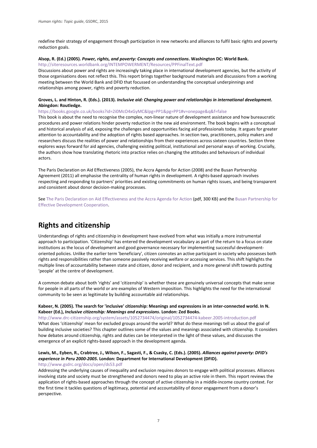redefine their strategy of engagement through participation in new networks and alliances to fulfil basic rights and poverty reduction goals.

#### **Alsop, R. (Ed.) (2005).** *Power, rights, and poverty: Concepts and connections***. Washington DC: World Bank.**

<http://siteresources.worldbank.org/INTEMPOWERMENT/Resources/PPFinalText.pdf>

Discussions about power and rights are increasingly taking place in international development agencies, but the activity of those organisations does not reflect this. This report brings together background materials and discussions from a working meeting between the World Bank and DFID that focussed on understanding the conceptual underpinnings and relationships among power, rights and poverty reduction.

#### **Groves, L. and Hinton, R. (Eds.). (2013).** *Inclusive aid: Changing power and relationships in international development***. Abingdon: Routledge.**

#### [https://books.google.co.uk/books?id=2i0McO4xGyMC&lpg=PP1&pg=PP1#v=onepage&q&f=false](https://books.google.co.uk/books?id=2i0McO4xGyMC&lpg=PP1&pg=PP1%23v=onepage&q&f=false)

This book is about the need to recognise the complex, non-linear nature of development assistance and how bureaucratic procedures and power relations hinder poverty reduction in the new aid environment. The book begins with a conceptual and historical analysis of aid, exposing the challenges and opportunities facing aid professionals today. It argues for greater attention to accountability and the adoption of rights based approaches. In section two, practitioners, policy makers and researchers discuss the realities of power and relationships from their experiences across sixteen countries. Section three explores ways forward for aid agencies, challenging existing political, institutional and personal ways of working. Crucially, the authors show how translating rhetoric into practice relies on changing the attitudes and behaviours of individual actors.

The Paris Declaration on Aid Effectiveness (2005), the Accra Agenda for Action (2008) and the Busan Partnership Agreement (2011) all emphasise the centrality of human rights in development. A rights-based approach involves respecting and responding to partners' priorities and existing commitments on human rights issues, and being transparent and consistent about donor decision-making processes.

Se[e The Paris Declaration on Aid Effectiveness and the Accra Agenda for Action](http://www.oecd.org/dac/effectiveness/34428351.pdf) (pdf, 300 KB) and the Busan Partnership for [Effective Development Cooperation.](http://www.oecd.org/dac/effectiveness/49650173.pdf)

## **Rights and citizenship**

Understandings of rights and citizenship in development have evolved from what was initially a more instrumental approach to participation. 'Citizenship' has entered the development vocabulary as part of the return to a focus on state institutions as the locus of development and good governance necessary for implementing successful developmentoriented policies. Unlike the earlier term 'beneficiary', citizen connotes an active participant in society who possesses both rights and responsibilities rather than someone passively receiving welfare or accessing services. This shift highlights the multiple lines of accountability between state and citizen, donor and recipient, and a more general shift towards putting 'people' at the centre of development.

A common debate about both 'rights' and 'citizenship' is whether these are genuinely universal concepts that make sense for people in all parts of the world or are examples of Western imposition. This highlights the need for the international community to be seen as legitimate by building accountable aid relationships.

#### **Kabeer, N. (2005). The search for 'inclusive' citizenship: Meanings and expressions in an inter-connected world. In N. Kabeer (Ed.),** *Inclusive citizenship: Meanings and expressions***. London: Zed Books.**

<http://www.drc-citizenship.org/system/assets/1052734474/original/1052734474-kabeer.2005-introduction.pdf> What does 'citizenship' mean for excluded groups around the world? What do these meanings tell us about the goal of building inclusive societies? This chapter outlines some of the values and meanings associated with citizenship. It considers how debates around citizenship, rights and duties can be interpreted in the light of these values, and discusses the emergence of an explicit rights-based approach in the development agenda.

#### **Lewis, M., Eyben, R., Crabtree, J., Wilson, F., Sagasti, F., & Csasky, C. (Eds.). (2005).** *Alliances against poverty: DFID's experience in Peru 2000-2005***. London: Department for International Development (DFID).**

#### <http://www.gsdrc.org/docs/open/ds53.pdf>

Addressing the underlying causes of inequality and exclusion requires donors to engage with political processes. Alliances involving state and society must be strengthened and donors need to play an active role in them. This report reviews the application of rights-based approaches through the concept of active citizenship in a middle-income country context. For the first time it tackles questions of legitimacy, potential and accountability of donor engagement from a donor's perspective.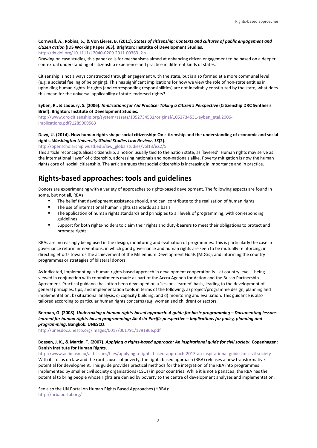#### **Cornwall, A., Robins, S., & Von Lieres, B. (2011).** *States of citizenship: Contexts and cultures of public engagement and citizen action* **(IDS Working Paper 363). Brighton: Instutite of Development Studies.**

[http://dx.doi.org/10.1111/j.2040-0209.2011.00363\\_2.x](http://dx.doi.org/10.1111/j.2040-0209.2011.00363_2.x) 

Drawing on case studies, this paper calls for mechanisms aimed at enhancing citizen engagement to be based on a deeper contextual understanding of citizenship experience and practice in different kinds of states.

Citizenship is not always constructed through engagement with the state, but is also formed at a more communal level (e.g. a societal feeling of belonging). This has significant implications for how we view the role of non-state entities in upholding human rights. If rights (and corresponding responsibilities) are not inevitably constituted by the state, what does this mean for the universal applicability of state-endorsed rights?

#### **Eyben, R., & Ladbury, S. (2006).** *Implications for Aid Practice: Taking a Citizen's Perspective* **(Citizenship DRC Synthesis Brief). Brighton: Institute of Development Studies.**

[http://www.drc-citizenship.org/system/assets/1052734531/original/1052734531-eyben\\_etal.2006](http://www.drc-citizenship.org/system/assets/1052734531/original/1052734531-eyben_etal.2006-implications.pdf?1289909563) [implications.pdf?1289909563](http://www.drc-citizenship.org/system/assets/1052734531/original/1052734531-eyben_etal.2006-implications.pdf?1289909563) 

#### **Davy, U. (2014). How human rights shape social citizenship: On citizenship and the understanding of economic and social rights.** *Washington University Global Studies Law Review***,** *13***(2).**

[http://openscholarship.wustl.edu/law\\_globalstudies/vol13/iss2/5](http://openscholarship.wustl.edu/law_globalstudies/vol13/iss2/5) 

This article reconceptualises citizenship, a notion usually tied to the nation state, as 'layered'. Human rights may serve as the international 'layer' of citizenship, addressing nationals and non-nationals alike. Poverty mitigation is now the human rights core of 'social' citizenship. The article argues that social citizenship is increasing in importance and in practice.

## **Rights-based approaches: tools and guidelines**

Donors are experimenting with a variety of approaches to rights-based development. The following aspects are found in some, but not all, RBAs:

- The belief that development assistance should, and can, contribute to the realisation of human rights<br>The use of international human rights standards as a basis
- The use of international human rights standards as a basis
- The application of human rights standards and principles to all levels of programming, with corresponding guidelines
- Support for both rights-holders to claim their rights and duty-bearers to meet their obligations to protect and promote rights.

RBAs are increasingly being used in the design, monitoring and evaluation of programmes. This is particularly the case in governance reform interventions, in which good governance and human rights are seen to be mutually reinforcing; in directing efforts towards the achievement of the Millennium Development Goals (MDGs); and informing the country programmes or strategies of bilateral donors.

As indicated, implementing a human rights-based approach in development cooperation is – at country level – being viewed in conjunction with commitments made as part of the Accra Agenda for Action and the Busan Partnership Agreement. Practical guidance has often been developed on a 'lessons learned' basis, leading to the development of general principles, tips, and implementation tools in terms of the following: a) project/programme design, planning and implementation; b) situational analysis; c) capacity building; and d) monitoring and evaluation. This guidance is also tailored according to particular human rights concerns (e.g. women and children) or sectors.

#### **Berman, G. (2008).** *Undertaking a human rights-based approach: A guide for basic programming – Documenting lessons learned for human rights-based programming: An Asia-Pacific perspective – Implications for policy, planning and programming***. Bangkok: UNESCO.**

<http://unesdoc.unesco.org/images/0017/001791/179186e.pdf>

#### **Boesen, J. K., & Martin, T. (2007).** *Applying a rights-based approach: An inspirational guide for civil society***. Copenhagen: Danish Institute for Human Rights.**

<http://www.acfid.asn.au/aid-issues/files/applying-a-rights-based-approach-2013-an-inspirational-guide-for-civil-society> With its focus on law and the root causes of poverty, the rights-based approach (RBA) releases a new transformative potential for development. This guide provides practical methods for the integration of the RBA into programmes implemented by smaller civil society organisations (CSOs) in poor countries. While it is not a panacea, the RBA has the potential to bring people whose rights are denied by poverty to the centre of development analyses and implementation.

See also the UN Portal on Human Rights Based Approaches (HRBA): <http://hrbaportal.org/>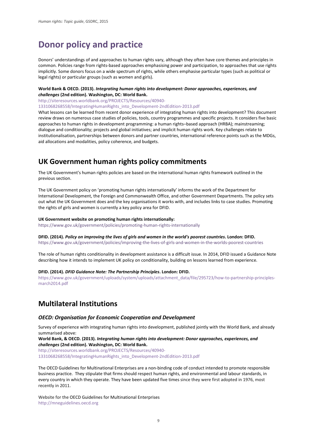## <span id="page-11-0"></span>**Donor policy and practice**

Donors' understandings of and approaches to human rights vary, although they often have core themes and principles in common. Policies range from rights-based approaches emphasising power and participation, to approaches that use rights implicitly. Some donors focus on a wide spectrum of rights, while others emphasise particular types (such as political or legal rights) or particular groups (such as women and girls).

#### **World Bank & OECD. (2013).** *Integrating human rights into development: Donor approaches, experiences, and challenges* **(2nd edition). Washington, DC: World Bank.**

[http://siteresources.worldbank.org/PROJECTS/Resources/40940-](http://siteresources.worldbank.org/PROJECTS/Resources/40940-1331068268558/IntegratingHumanRights_into_Development-2ndEdition-2013.pdf)

[1331068268558/IntegratingHumanRights\\_into\\_Development-2ndEdition-2013.pdf](http://siteresources.worldbank.org/PROJECTS/Resources/40940-1331068268558/IntegratingHumanRights_into_Development-2ndEdition-2013.pdf) 

What lessons can be learned from recent donor experience of integrating human rights into development? This document review draws on numerous case studies of policies, tools, country programmes and specific projects. It considers five basic approaches to human rights in development programming: a human rights–based approach (HRBA); mainstreaming; dialogue and conditionality; projects and global initiatives; and implicit human rights work. Key challenges relate to institutionalisation, partnerships between donors and partner countries, international reference points such as the MDGs, aid allocations and modalities, policy coherence, and budgets.

## **UK Government human rights policy commitments**

The UK Government's human rights policies are based on the international human rights framework outlined in the previous section.

The UK Government policy on 'promoting human rights internationally' informs the work of the Department for International Development, the Foreign and Commonwealth Office, and other Government Departments. The policy sets out what the UK Government does and the key organisations it works with, and includes links to case studies. Promoting the rights of girls and women is currently a key policy area for DFID.

#### **UK Government website on promoting human rights internationally:**

<https://www.gov.uk/government/policies/promoting-human-rights-internationally>

### **DFID. (2014).** *Policy on improving the lives of girls and women in the world's poorest countries***. London: DFID.**

<https://www.gov.uk/government/policies/improving-the-lives-of-girls-and-women-in-the-worlds-poorest-countries>

The role of human rights conditionality in development assistance is a difficult issue. In 2014, DFID issued a Guidance Note describing how it intends to implement UK policy on conditionality, building on lessons learned from experience.

#### **DFID. (2014).** *DFID Guidance Note: The Partnership Principles***. London: DFID.**

[https://www.gov.uk/government/uploads/system/uploads/attachment\\_data/file/295723/how-to-partnership-principles](https://www.gov.uk/government/uploads/system/uploads/attachment_data/file/295723/how-to-partnership-principles-march2014.pdf)[march2014.pdf](https://www.gov.uk/government/uploads/system/uploads/attachment_data/file/295723/how-to-partnership-principles-march2014.pdf) 

## **Multilateral Institutions**

#### *OECD: Organisation for Economic Cooperation and Development*

Survey of experience with integrating human rights into development, published jointly with the World Bank, and already summarised above:

**World Bank, & OECD. (2013).** *Integrating human rights into development: Donor approaches, experiences, and challenges* **(2nd edition). Washington, DC: World Bank.**

[http://siteresources.worldbank.org/PROJECTS/Resources/40940-](http://siteresources.worldbank.org/PROJECTS/Resources/40940-1331068268558/IntegratingHumanRights_into_Development-2ndEdition-2013.pdf)

[1331068268558/IntegratingHumanRights\\_into\\_Development-2ndEdition-2013.pdf](http://siteresources.worldbank.org/PROJECTS/Resources/40940-1331068268558/IntegratingHumanRights_into_Development-2ndEdition-2013.pdf) 

The OECD Guidelines for Multinational Enterprises are a non-binding code of conduct intended to promote responsible business practice. They stipulate that firms should respect human rights, and environmental and labour standards, in every country in which they operate. They have been updated five times since they were first adopted in 1976, most recently in 2011.

Website for the OECD Guidelines for Multinational Enterprises [http://mneguidelines.oecd.org](http://mneguidelines.oecd.org/)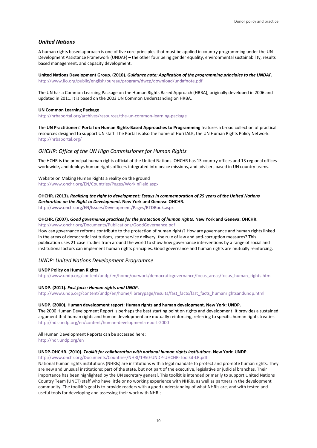#### *United Nations*

A human rights based approach is one of five core principles that must be applied in country programming under the UN Development Assistance Framework (UNDAF) – the other four being gender equality, environmental sustainability, results based management, and capacity development.

**United Nations Development Group. (2010).** *Guidance note: Application of the programming principles to the UNDAF***.** <http://www.ilo.org/public/english/bureau/program/dwcp/download/undafnote.pdf>

The UN has a Common Learning Package on the Human Rights Based Approach (HRBA), originally developed in 2006 and updated in 2011. It is based on the 2003 UN Common Understanding on HRBA.

#### **UN Common Learning Package**

<http://hrbaportal.org/archives/resources/the-un-common-learning-package>

The **UN Practitioners' Portal on Human Rights-Based Approaches to Programming** features a broad collection of practical resources designed to support UN staff. The Portal is also the home of HuriTALK, the UN Human Rights Policy Network. <http://hrbaportal.org/>

#### *OHCHR: Office of the UN High Commissioner for Human Rights*

The HCHR is the principal human rights official of the United Nations. OHCHR has 13 country offices and 13 regional offices worldwide, and deploys human rights officers integrated into peace missions, and advisers based in UN country teams.

Website on Making Human Rights a reality on the ground <http://www.ohchr.org/EN/Countries/Pages/WorkInField.aspx>

#### **OHCHR. (2013).** *Realizing the right to development: Essays in commemoration of 25 years of the United Nations Declaration on the Right to Development***. New York and Geneva: OHCHR.**

<http://www.ohchr.org/EN/Issues/Development/Pages/RTDBook.aspx>

#### **OHCHR. (2007).** *Good governance practices for the protection of human rights***. New York and Geneva: OHCHR.** <http://www.ohchr.org/Documents/Publications/GoodGovernance.pdf>

How can governance reforms contribute to the protection of human rights? How are governance and human rights linked in the areas of democratic institutions, state service delivery, the rule of law and anti-corruption measures? This publication uses 21 case studies from around the world to show how governance interventions by a range of social and institutional actors can implement human rights principles. Good governance and human rights are mutually reinforcing.

#### *UNDP: United Nations Development Programme*

#### **UNDP Policy on Human Rights**

[http://www.undp.org/content/undp/en/home/ourwork/democraticgovernance/focus\\_areas/focus\\_human\\_rights.html](http://www.undp.org/content/undp/en/home/ourwork/democraticgovernance/focus_areas/focus_human_rights.html) 

#### **UNDP. (2011).** *Fast facts: Human rights and UNDP***.**

[http://www.undp.org/content/undp/en/home/librarypage/results/fast\\_facts/fast\\_facts\\_humanrightsandundp.html](http://www.undp.org/content/undp/en/home/librarypage/results/fast_facts/fast_facts_humanrightsandundp.html)

#### **UNDP. (2000). Human development report: Human rights and human development. New York: UNDP.**

The 2000 Human Development Report is perhaps the best starting point on rights and development. It provides a sustained argument that human rights and human development are mutually reinforcing, referring to specific human rights treaties. <http://hdr.undp.org/en/content/human-development-report-2000>

All Human Development Reports can be accessed here: <http://hdr.undp.org/en>

#### **UNDP-OHCHR. (2010).** *Toolkit for collaboration with national human rights institutions***. New York: UNDP.**

<http://www.ohchr.org/Documents/Countries/NHRI/1950-UNDP-UHCHR-Toolkit-LR.pdf>

National human rights institutions (NHRIs) are institutions with a legal mandate to protect and promote human rights. They are new and unusual institutions: part of the state, but not part of the executive, legislative or judicial branches. Their importance has been highlighted by the UN secretary general. This toolkit is intended primarily to support United Nations Country Team (UNCT) staff who have little or no working experience with NHRIs, as well as partners in the development community. The toolkit's goal is to provide readers with a good understanding of what NHRIs are, and with tested and useful tools for developing and assessing their work with NHRIs.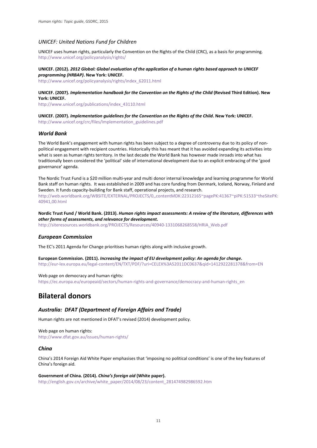#### *UNICEF: United Nations Fund for Children*

UNICEF uses human rights, particularly the Convention on the Rights of the Child (CRC), as a basis for programming. <http://www.unicef.org/policyanalysis/rights/>

#### **UNICEF. (2012).** *2012 Global: Global evaluation of the application of a human rights based approach to UNICEF programming (HRBAP)***. New York: UNICEF.**

[http://www.unicef.org/policyanalysis/rights/index\\_62011.html](http://www.unicef.org/policyanalysis/rights/index_62011.html)

#### **UNICEF. (2007).** *Implementation handbook for the Convention on the Rights of the Child* **(Revised Third Edition). New York: UNICEF.**

[http://www.unicef.org/publications/index\\_43110.html](http://www.unicef.org/publications/index_43110.html)

#### **UNICEF. (2007).** *Implementation guidelines for the Convention on the Rights of the Child***. New York: UNICEF.** [http://www.unicef.org/crc/files/Implementation\\_guidelines.pdf](http://www.unicef.org/crc/files/Implementation_guidelines.pdf)

#### *World Bank*

The World Bank's engagement with human rights has been subject to a degree of controversy due to its policy of nonpolitical engagement with recipient countries. Historically this has meant that it has avoided expanding its activities into what is seen as human rights territory. In the last decade the World Bank has however made inroads into what has traditionally been considered the 'political' side of international development due to an explicit embracing of the 'good governance' agenda.

The Nordic Trust Fund is a \$20 million multi-year and multi donor internal knowledge and learning programme for World Bank staff on human rights. It was established in 2009 and has core funding from Denmark, Iceland, Norway, Finland and Sweden. It funds capacity-building for Bank staff, operational projects, and research. [http://web.worldbank.org/WBSITE/EXTERNAL/PROJECTS/0,,contentMDK:22312165~pagePK:41367~piPK:51533~theSitePK:](http://web.worldbank.org/WBSITE/EXTERNAL/PROJECTS/0,,contentMDK:22312165%7EpagePK:41367%7EpiPK:51533%7EtheSitePK:40941,00.html) [40941,00.html](http://web.worldbank.org/WBSITE/EXTERNAL/PROJECTS/0,,contentMDK:22312165%7EpagePK:41367%7EpiPK:51533%7EtheSitePK:40941,00.html)

**Nordic Trust Fund / World Bank. (2013).** *Human rights impact assessments: A review of the literature, differences with other forms of assessments, and relevance for development***.**

[http://siteresources.worldbank.org/PROJECTS/Resources/40940-1331068268558/HRIA\\_Web.pdf](http://siteresources.worldbank.org/PROJECTS/Resources/40940-1331068268558/HRIA_Web.pdf)

#### *European Commission*

The EC's 2011 Agenda for Change prioritises human rights along with inclusive growth.

**European Commission. (2011).** *Increasing the impact of EU development policy: An agenda for change***.**  <http://eur-lex.europa.eu/legal-content/EN/TXT/PDF/?uri=CELEX%3A52011DC0637&qid=1412922281378&from=EN>

#### Web page on democracy and human rights:

[https://ec.europa.eu/europeaid/sectors/human-rights-and-governance/democracy-and-human-rights\\_en](https://ec.europa.eu/europeaid/sectors/human-rights-and-governance/democracy-and-human-rights_en)

## **Bilateral donors**

#### *Australia: DFAT (Department of Foreign Affairs and Trade)*

Human rights are not mentioned in DFAT's revised (2014) development policy.

Web page on human rights: <http://www.dfat.gov.au/issues/human-rights/>

#### *China*

China's 2014 Foreign Aid White Paper emphasises that 'imposing no political conditions' is one of the key features of China's foreign aid.

**Government of China. (2014).** *China's foreign aid* **(White paper).** [http://english.gov.cn/archive/white\\_paper/2014/08/23/content\\_281474982986592.htm](http://english.gov.cn/archive/white_paper/2014/08/23/content_281474982986592.htm)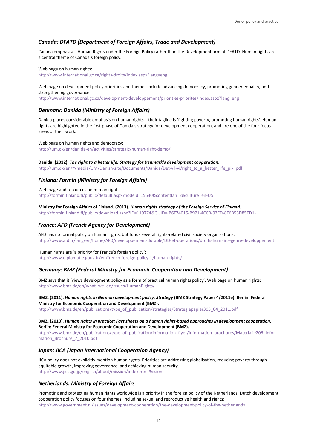#### *Canada: DFATD (Department of Foreign Affairs, Trade and Development)*

Canada emphasises Human Rights under the Foreign Policy rather than the Development arm of DFATD. Human rights are a central theme of Canada's foreign policy.

Web page on human rights: <http://www.international.gc.ca/rights-droits/index.aspx?lang=eng>

Web page on development policy priorities and themes include advancing democracy, promoting gender equality, and strengthening governance:

<http://www.international.gc.ca/development-developpement/priorities-priorites/index.aspx?lang=eng>

#### *Denmark: Danida (Ministry of Foreign Affairs)*

Danida places considerable emphasis on human rights – their tagline is 'fighting poverty, promoting human rights'. Human rights are highlighted in the first phase of Danida's strategy for development cooperation, and are one of the four focus areas of their work.

Web page on human rights and democracy: <http://um.dk/en/danida-en/activities/strategic/human-right-demo/>

**Danida. (2012).** *The right to a better life: Strategy for Denmark's development cooperation***.**  [http://um.dk/en/~/media/UM/Danish-site/Documents/Danida/Det-vil-vi/right\\_to\\_a\\_better\\_life\\_pixi.pdf](http://um.dk/en/%7E/media/UM/Danish-site/Documents/Danida/Det-vil-vi/right_to_a_better_life_pixi.pdf)

#### *Finland: Formin (Ministry for Foreign Affairs)*

Web page and resources on human rights: <http://formin.finland.fi/public/default.aspx?nodeid=15630&contentlan=2&culture=en-US>

**Ministry for Foreign Affairs of Finland. (2013).** *Human rights strategy of the Foreign Service of Finland***.** 

[http://formin.finland.fi/public/download.aspx?ID=119774&GUID={B6F74015-B971-4CCB-93ED-8E6B53D85ED1}](http://formin.finland.fi/public/download.aspx?ID=119774&GUID=%7bB6F74015-B971-4CCB-93ED-8E6B53D85ED1%7d) 

#### *France: AFD (French Agency for Development)*

AFD has no formal policy on human rights, but funds several rights-related civil society organisations: <http://www.afd.fr/lang/en/home/AFD/developpement-durable/DD-et-operations/droits-humains-genre-developpement>

Human rights are 'a priority for France's foreign policy': <http://www.diplomatie.gouv.fr/en/french-foreign-policy-1/human-rights/>

#### *Germany: BMZ (Federal Ministry for Economic Cooperation and Development)*

BMZ says that it 'views development policy as a form of practical human rights policy'. Web page on human rights: [http://www.bmz.de/en/what\\_we\\_do/issues/HumanRights/](http://www.bmz.de/en/what_we_do/issues/HumanRights/)

#### **BMZ. (2011).** *Human rights in German development policy: Strategy* **(BMZ Strategy Paper 4/2011e). Berlin: Federal Ministry for Economic Cooperation and Development (BMZ).**

[http://www.bmz.de/en/publications/type\\_of\\_publication/strategies/Strategiepapier305\\_04\\_2011.pdf](http://www.bmz.de/en/publications/type_of_publication/strategies/Strategiepapier305_04_2011.pdf)

**BMZ. (2010).** *Human rights in practice: Fact sheets on a human rights-based approaches in development cooperation***. Berlin: Federal Ministry for Economic Cooperation and Development (BMZ).** [http://www.bmz.de/en/publications/type\\_of\\_publication/information\\_flyer/information\\_brochures/Materialie206\\_Infor](http://www.bmz.de/en/publications/type_of_publication/information_flyer/information_brochures/Materialie206_Information_Brochure_7_2010.pdf) mation\_Brochure\_7\_2010.pdf

#### *Japan: JICA (Japan International Cooperation Agency)*

JICA policy does not explicitly mention human rights. Priorities are addressing globalisation, reducing poverty through equitable growth, improving governance, and achieving human security. [http://www.jica.go.jp/english/about/mission/index.html#vision](http://www.jica.go.jp/english/about/mission/index.html%23vision) 

#### *Netherlands: Ministry of Foreign Affairs*

Promoting and protecting human rights worldwide is a priority in the foreign policy of the Netherlands. Dutch development cooperation policy focuses on four themes, including sexual and reproductive health and rights: <http://www.government.nl/issues/development-cooperation/the-development-policy-of-the-netherlands>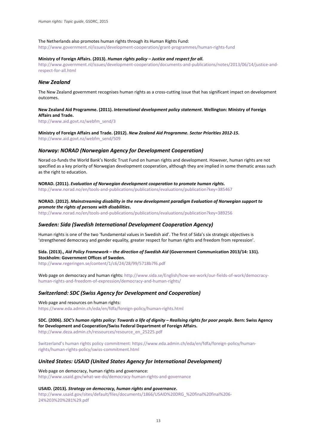#### The Netherlands also promotes human rights through its Human Rights Fund:

<http://www.government.nl/issues/development-cooperation/grant-programmes/human-rights-fund>

#### **Ministry of Foreign Affairs. (2013).** *Human rights policy – Justice and respect for all***.**

[http://www.government.nl/issues/development-cooperation/documents-and-publications/notes/2013/06/14/justice-and](http://www.government.nl/issues/development-cooperation/documents-and-publications/notes/2013/06/14/justice-and-respect-for-all.html)[respect-for-all.html](http://www.government.nl/issues/development-cooperation/documents-and-publications/notes/2013/06/14/justice-and-respect-for-all.html) 

#### *New Zealand*

The New Zealand government recognises human rights as a cross-cutting issue that has significant impact on development outcomes.

#### **New Zealand Aid Programme. (2011).** *International development policy statement***. Wellington: Ministry of Foreign Affairs and Trade.**

[http://www.aid.govt.nz/webfm\\_send/3](http://www.aid.govt.nz/webfm_send/3)

**Ministry of Foreign Affairs and Trade. (2012).** *New Zealand Aid Programme. Sector Priorities 2012-15***.** 

[http://www.aid.govt.nz/webfm\\_send/509](http://www.aid.govt.nz/webfm_send/509)

#### *Norway: NORAD (Norwegian Agency for Development Cooperation)*

Norad co-funds the World Bank's Nordic Trust Fund on human rights and development. However, human rights are not specified as a key priority of Norwegian development cooperation, although they are implied in some thematic areas such as the right to education.

**NORAD. (2011).** *Evaluation of Norwegian development cooperation to promote human rights***.**  <http://www.norad.no/en/tools-and-publications/publications/evaluations/publication?key=385467>

#### **NORAD. (2012).** *Mainstreaming disability in the new development paradigm Evaluation of Norwegian support to promote the rights of persons with disabilities***.**

<http://www.norad.no/en/tools-and-publications/publications/evaluations/publication?key=389256>

#### *Sweden: Sida (Swedish International Development Cooperation Agency)*

Human rights is one of the two 'fundamental values in Swedish aid'. The first of Sida's six strategic objectives is 'strengthened democracy and gender equality, greater respect for human rights and freedom from repression'.

#### **Sida. (2013).,** *Aid Policy Framework – the direction of Swedish Aid* **(Government Communication 2013/14: 131). Stockholm: Government Offices of Sweden.**

<http://www.regeringen.se/content/1/c6/24/28/99/5718b7f6.pdf>

Web page on democracy and human rights[: http://www.sida.se/English/how-we-work/our-fields-of-work/democracy](http://www.sida.se/English/how-we-work/our-fields-of-work/democracy-human-rights-and-freedom-of-expression/democracy-and-human-rights/)[human-rights-and-freedom-of-expression/democracy-and-human-rights/](http://www.sida.se/English/how-we-work/our-fields-of-work/democracy-human-rights-and-freedom-of-expression/democracy-and-human-rights/) 

#### *Switzerland: SDC (Swiss Agency for Development and Cooperation)*

Web page and resources on human rights: <https://www.eda.admin.ch/eda/en/fdfa/foreign-policy/human-rights.html>

**SDC. (2006).** *SDC's human rights policy: Towards a life of dignity – Realising rights for poor people***. Bern: Swiss Agency for Development and Cooperation/Swiss Federal Department of Foreign Affairs.**  [http://www.deza.admin.ch/ressources/resource\\_en\\_25225.pdf](http://www.deza.admin.ch/ressources/resource_en_25225.pdf)

Switzerland's human rights policy commitment: https://www.eda.admin.ch/eda/en/fdfa/foreign-policy/humanrights/human-rights-policy/swiss-commitment.html

#### *United States: USAID (United States Agency for International Development)*

Web page on democracy, human rights and governance: <http://www.usaid.gov/what-we-do/democracy-human-rights-and-governance>

#### **USAID. (2013).** *Strategy on democracy, human rights and governance***.**

[http://www.usaid.gov/sites/default/files/documents/1866/USAID%20DRG\\_%20final%20final%206-](http://www.usaid.gov/sites/default/files/documents/1866/USAID%20DRG_%20final%20final%206-24%203%20%281%29.pdf) [24%203%20%281%29.pdf](http://www.usaid.gov/sites/default/files/documents/1866/USAID%20DRG_%20final%20final%206-24%203%20%281%29.pdf)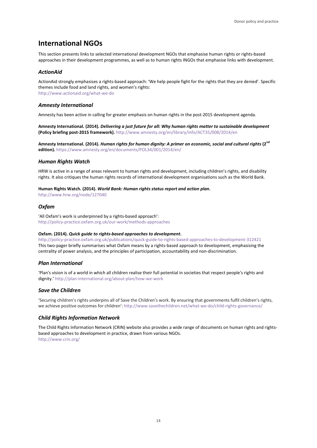## **International NGOs**

This section presents links to selected international development NGOs that emphasise human rights or rights-based approaches in their development programmes, as well as to human rights INGOs that emphasise links with development.

#### *ActionAid*

ActionAid strongly emphasises a rights-based approach: 'We help people fight for the rights that they are denied'. Specific themes include food and land rights, and women's rights: <http://www.actionaid.org/what-we-do>

#### *Amnesty International*

Amnesty has been active in calling for greater emphasis on human rights in the post-2015 development agenda.

**Amnesty International. (2014).** *Delivering a just future for all: Why human rights matter to sustainable development* **(Policy briefing post-2015 framework).** <http://www.amnesty.org/en/library/info/ACT35/008/2014/en>

**Amnesty International. (2014).** *Human rights for human dignity: A primer on economic, social and cultural rights* **(2nd edition).** <https://www.amnesty.org/en/documents/POL34/001/2014/en/>

#### *Human Rights Watch*

HRW is active in a range of areas relevant to human rights and development, including children's rights, and disability rights. It also critiques the human rights records of international development organisations such as the World Bank.

#### **Human Rights Watch. (2014).** *World Bank: Human rights status report and action plan***.**

<http://www.hrw.org/node/127040>

#### *Oxfam*

'All Oxfam's work is underpinned by a rights-based approach': <http://policy-practice.oxfam.org.uk/our-work/methods-approaches>

#### **Oxfam. (2014).** *Quick guide to rights-based approaches to development***.**

<http://policy-practice.oxfam.org.uk/publications/quick-guide-to-rights-based-approaches-to-development-312421> This two-pager briefly summarises what Oxfam means by a rights-based approach to development, emphasising the centrality of power analysis, and the principles of participation, accountability and non-discrimination.

#### *Plan International*

'Plan's vision is of a world in which all children realise their full potential in societies that respect people's rights and dignity.[' http://plan-international.org/about-plan/how-we-work](http://plan-international.org/about-plan/how-we-work) 

#### *Save the Children*

'Securing children's rights underpins all of Save the Children's work. By ensuring that governments fulfil children's rights, we achieve positive outcomes for children': <http://www.savethechildren.net/what-we-do/child-rights-governance/>

#### *Child Rights Information Network*

The Child Rights Information Network (CRIN) website also provides a wide range of documents on human rights and rightsbased approaches to development in practice, drawn from various NGOs. <http://www.crin.org/>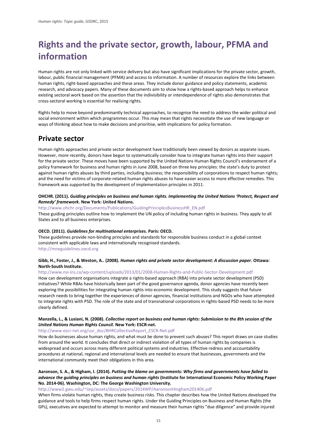## <span id="page-17-0"></span>**Rights and the private sector, growth, labour, PFMA and information**

Human rights are not only linked with service delivery but also have significant implications for the private sector, growth, labour, public financial management (PFMA) and access to information. A number of resources explore the links between human rights, right-based approaches and these areas. They include donor guidance and policy statements, academic research, and advocacy papers. Many of these documents aim to show how a rights-based approach helps to enhance existing sectoral work based on the assertion that the indivisibility or interdependence of rights also demonstrates that cross-sectoral working is essential for realising rights.

Rights help to move beyond predominantly technical approaches, to recognise the need to address the wider political and social environment within which programmes occur. This may mean that rights necessitate the use of new language or ways of thinking about how to make decisions and prioritise, with implications for policy formation.

## **Private sector**

Human rights approaches and private sector development have traditionally been viewed by donors as separate issues. However, more recently, donors have begun to systematically consider how to integrate human rights into their support for the private sector. These moves have been supported by the United Nations Human Rights Council's endorsement of a policy framework for business and human rights in June 2008, based on three key principles: the state's duty to protect against human rights abuses by third parties, including business; the responsibility of corporations to respect human rights; and the need for victims of corporate-related human rights abuses to have easier access to more effective remedies. This framework was supported by the development of implementation principles in 2011.

#### **OHCHR. (2011).** *Guiding principles on business and human rights. Implementing the United Nations 'Protect, Respect and Remedy' framework***. New York: United Nations.**

[http://www.ohchr.org/Documents/Publications/GuidingPrinciplesBusinessHR\\_EN.pdf](http://www.ohchr.org/Documents/Publications/GuidingPrinciplesBusinessHR_EN.pdf)

These guiding principles outline how to implement the UN policy of including human rights in business. They apply to all States and to all business enterprises.

#### **OECD. (2011).** *Guidelines for multinational enterprises***. Paris: OECD.**

These guidelines provide non-binding principles and standards for responsible business conduct in a global context consistent with applicable laws and internationally recognised standards.

[http://mneguidelines.oecd.org](http://mneguidelines.oecd.org/)

#### **Gibb, H., Foster, J., & Weston, A.. (2008).** *Human rights and private sector development: A discussion paper***. Ottawa: North-South Institute.**

<http://www.nsi-ins.ca/wp-content/uploads/2013/01/2008-Human-Rights-and-Public-Sector-Development.pdf>

How can development organisations integrate a rights-based approach (RBA) into private sector development (PSD) initiatives? While RBAs have historically been part of the good governance agenda, donor agencies have recently been exploring the possibilities for integrating human rights into economic development. This study suggests that future research needs to bring together the experiences of donor agencies, financial institutions and NGOs who have attempted to integrate rights with PSD. The role of the state and of transnational corporations in rights-based PSD needs to be more clearly defined.

#### **Manzella, L., & Lusiani, N. (2008).** *Collective report on business and human rights: Submission to the 8th session of the United Nations Human Rights Council***. New York: ESCR-net.**

[http://www.escr-net.org/usr\\_doc/BHRCollectiveReport\\_ESCR-Net.pdf](http://www.escr-net.org/usr_doc/BHRCollectiveReport_ESCR-Net.pdf)

How do businesses abuse human rights, and what must be done to prevent such abuses? This report draws on case studies from around the world. It concludes that direct or indirect violation of all types of human rights by companies is widespread and occurs across many different political systems and industries. Effective redress and accountability procedures at national, regional and international levels are needed to ensure that businesses, governments and the international community meet their obligations in this area.

#### **Aaronson, S. A., & Higham, I. (2014).** *Putting the blame on governments: Why firms and governments have failed to advance the guiding principles on business and human rights* **(Institute for International Economic Policy Working Paper No. 2014-06). Washington, DC: The George Washington University.**

[http://www2.gwu.edu/~iiep/assets/docs/papers/2014WP/AaronsonHingham201406.pdf](http://www2.gwu.edu/%7Eiiep/assets/docs/papers/2014WP/AaronsonHingham201406.pdf)

When firms violate human rights, they create business risks. This chapter describes how the United Nations developed the guidance and tools to help firms respect human rights. Under the Guiding Principles on Business and Human Rights (the GPs), executives are expected to attempt to monitor and measure their human rights "due diligence" and provide injured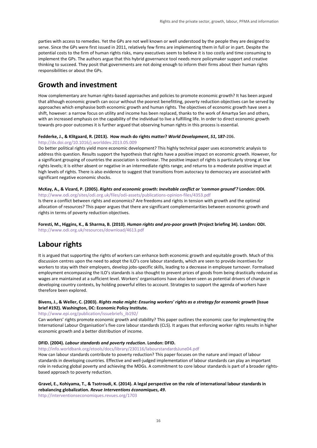parties with access to remedies. Yet the GPs are not well known or well understood by the people they are designed to serve. Since the GPs were first issued in 2011, relatively few firms are implementing them in full or in part. Despite the potential costs to the firm of human rights risks, many executives seem to believe it is too costly and time consuming to implement the GPs. The authors argue that this hybrid governance tool needs more policymaker support and creative thinking to succeed. They posit that governments are not doing enough to inform their firms about their human rights responsibilities or about the GPs.

## **Growth and investment**

How complementary are human rights-based approaches and policies to promote economic growth? It has been argued that although economic growth can occur without the poorest benefitting, poverty reduction objectives can be served by approaches which emphasise both economic growth and human rights. The objectives of economic growth have seen a shift, however: a narrow focus on utility and income has been replaced, thanks to the work of Amartya Sen and others, with an increased emphasis on the capability of the individual to live a fulfilling life. In order to direct economic growth towards pro-poor outcomes it is further argued that observing human rights in this process is essential.

#### **Fedderke, J., & Klitgaard, R. (2013). How much do rights matter?** *World Development***,** *51***, 187-206.**

#### <http://dx.doi.org/10.1016/j.worlddev.2013.05.009>

Do better political rights yield more economic development? This highly technical paper uses econometric analysis to address this question. Results support the hypothesis that rights have a positive impact on economic growth. However, for a significant grouping of countries the association is nonlinear. The positive impact of rights is particularly strong at low rights levels; it is either absent or negative in an intermediate rights range; and returns to a moderate positive impact at high levels of rights. There is also evidence to suggest that transitions from autocracy to democracy are associated with significant negative economic shocks.

#### **McKay, A., & Vizard, P. (2005).** *Rights and economic growth: Inevitable conflict or 'common ground'?* **London: ODI.**

<http://www.odi.org/sites/odi.org.uk/files/odi-assets/publications-opinion-files/4353.pdf> Is there a conflict between rights and economics? Are freedoms and rights in tension with growth and the optimal allocation of resources? This paper argues that there are significant complementarities between economic growth and rights in terms of poverty reduction objectives.

**Foresti, M., Higgins, K., & Sharma, B. (2010).** *Human rights and pro-poor growth* **(Project briefing 34). London: ODI.** <http://www.odi.org.uk/resources/download/4613.pdf>

## **Labour rights**

It is argued that supporting the rights of workers can enhance both economic growth and equitable growth. Much of this discussion centres upon the need to adopt the ILO's core labour standards, which are seen to provide incentives for workers to stay with their employers, develop jobs-specific skills, leading to a decrease in employee turnover. Formalised employment encompassing the ILO's standards is also thought to prevent prices of goods from being drastically reduced as wages are maintained at a sufficient level. Workers' organisations have also been seen as potential drivers of change in developing country contexts, by holding powerful elites to account. Strategies to support the agenda of workers have therefore been explored.

#### **Bivens, J., & Weller, C. (2003).** *Rights make might: Ensuring workers' rights as a strategy for economic growth* **(Issue brief #192). Washington, DC: Economic Policy Institute.**

[http://www.epi.org/publication/issuebriefs\\_ib192/](http://www.epi.org/publication/issuebriefs_ib192/)

Can workers' rights promote economic growth and stability? This paper outlines the economic case for implementing the International Labour Organisation's five core labour standards (CLS). It argues that enforcing worker rights results in higher economic growth and a better distribution of income.

#### **DFID. (2004).** *Labour standards and poverty reduction***. London: DFID.**

<http://info.worldbank.org/etools/docs/library/230116/labourstandardsJune04.pdf>

How can labour standards contribute to poverty reduction? This paper focuses on the nature and impact of labour standards in developing countries. Effective and well-judged implementation of labour standards can play an important role in reducing global poverty and achieving the MDGs. A commitment to core labour standards is part of a broader rightsbased approach to poverty reduction.

#### **Gravel, E., Kohiyama, T., & Tsotroudi, K. (2014). A legal perspective on the role of international labour standards in rebalancing globalization.** *Revue Interventions économiques***,** *49***.**

<http://interventionseconomiques.revues.org/1703>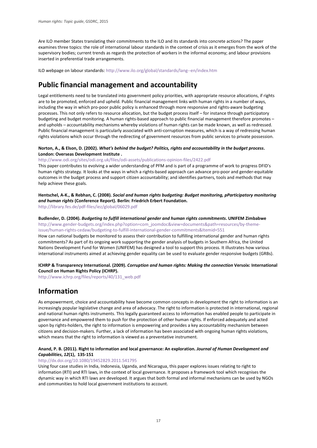Are ILO member States translating their commitments to the ILO and its standards into concrete actions? The paper examines three topics: the role of international labour standards in the context of crisis as it emerges from the work of the supervisory bodies; current trends as regards the protection of workers in the informal economy; and labour provisions inserted in preferential trade arrangements.

ILO webpage on labour standards[: http://www.ilo.org/global/standards/lang--en/index.htm](http://www.ilo.org/global/standards/lang--en/index.htm)

## **Public financial management and accountability**

Legal entitlements need to be translated into government policy priorities, with appropriate resource allocations, if rights are to be promoted, enforced and upheld. Public financial management links with human rights in a number of ways, including the way in which pro-poor public policy is enhanced through more responsive and rights-aware budgeting processes. This not only refers to resource allocation, but the budget process itself – for instance through participatory budgeting and budget monitoring. A human rights-based approach to public financial management therefore promotes – and upholds – accountability mechanisms whereby violations of human rights can be made known, as well as redressed. Public financial management is particularly associated with anti-corruption measures, which is a way of redressing human rights violations which occur through the redirecting of government resources from public services to private possession.

#### **Norton, A., & Elson, D. (2002).** *What's behind the budget? Politics, rights and accountability in the budget process***. London: Overseas Development Institute .**

<http://www.odi.org/sites/odi.org.uk/files/odi-assets/publications-opinion-files/2422.pdf>

This paper contributes to evolving a wider understanding of PFM and is part of a programme of work to progress DFID's human rights strategy. It looks at the ways in which a rights-based approach can advance pro-poor and gender-equitable outcomes in the budget process and support citizen accountability; and identifies partners, tools and methods that may help achieve these goals.

**Hentschel, A-K., & Rebhan, C. (2008).** *Social and human rights budgeting: Budget monitoring, pParticipatory monitoring and human rights* **(Conference Report). Berlin: Friedrich Erbert Foundation.**  <http://library.fes.de/pdf-files/iez/global/06029.pdf>

**Budlender, D. (2004).** *Budgeting to fulfill international gender and human rights commitments***. UNIFEM Zimbabwe** [http://www.gender-budgets.org/index.php?option=com\\_joomdoc&view=documents&path=resources/by-theme](http://www.gender-budgets.org/index.php?option=com_joomdoc&view=documents&path=resources/by-theme-issue/human-rights-cedaw/budgeting-to-fulfill-international-gender-commitments&Itemid=551)[issue/human-rights-cedaw/budgeting-to-fulfill-international-gender-commitments&Itemid=551](http://www.gender-budgets.org/index.php?option=com_joomdoc&view=documents&path=resources/by-theme-issue/human-rights-cedaw/budgeting-to-fulfill-international-gender-commitments&Itemid=551) 

How can national budgets be monitored to assess their contribution to fulfilling international gender and human rights commitments? As part of its ongoing work supporting the gender analysis of budgets in Southern Africa, the United Nations Development Fund for Women (UNIFEM) has designed a tool to support this process. It illustrates how various international instruments aimed at achieving gender equality can be used to evaluate gender responsive budgets (GRBs).

#### **ICHRP & Transparency International. (2009).** *Corruption and human rights: Making the connection* **Versoix: International Council on Human Rights Policy (ICHRP).**

[http://www.ichrp.org/files/reports/40/131\\_web.pdf](http://www.ichrp.org/files/reports/40/131_web.pdf)

## **Information**

As empowerment, choice and accountability have become common concepts in development the right to information is an increasingly popular legislative change and area of advocacy. The right to information is protected in international, regional and national human rights instruments. This legally guaranteed access to information has enabled people to participate in governance and empowered them to push for the protection of other human rights. If enforced adequately and acted upon by rights-holders, the right to information is empowering and provides a key accountability mechanism between citizens and decision-makers. Further, a lack of information has been associated with ongoing human rights violations, which means that the right to information is viewed as a preventative instrument.

#### **Anand, P. B. (2011). Right to information and local governance: An exploration.** *Journal of Human Development and Capabilities***,** *12***(1), 135-151**

#### <http://dx.doi.org/10.1080/19452829.2011.541795>

Using four case studies in India, Indonesia, Uganda, and Nicaragua, this paper explores issues relating to right to information (RTI) and RTI laws, in the context of local governance. It proposes a framework tool which recognises the dynamic way in which RTI laws are developed. It argues that both formal and informal mechanisms can be used by NGOs and communities to hold local government institutions to account.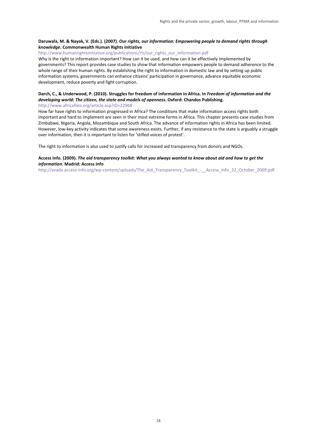#### **Daruwala, M. & Nayak, V. (Eds.). (2007).** *Our rights, our information: Empowering people to demand rights through knowledge***. Commonwealth Human Rights Initiative**

[http://www.humanrightsinitiative.org/publications/rti/our\\_rights\\_our\\_information.pdf](http://www.humanrightsinitiative.org/publications/rti/our_rights_our_information.pdf)

Why is the right to information important? How can it be used, and how can it be effectively implemented by governments? This report provides case studies to show that information empowers people to demand adherence to the whole range of their human rights. By establishing the right to information in domestic law and by setting up public information systems, governments can enhance citizens' participation in governance, advance equitable economic development, reduce poverty and fight corruption.

#### **Darch, C., & Underwood, P. (2010). Struggles for freedom of information in Africa. In** *Freedom of information and the developing world: The citizen, the state and models of openness***. Oxford: Chandos Publishing.**

<http://www.africafiles.org/article.asp?ID=22968>

How far have rights to information progressed in Africa? The conditions that make information access rights both important and hard to implement are seen in their most extreme forms in Africa. This chapter presents case studies from Zimbabwe, Nigeria, Angola, Mozambique and South Africa. The advance of information rights in Africa has been limited. However, low-key activity indicates that some awareness exists. Further, if any resistance to the state is arguably a struggle over information, then it is important to listen for 'stifled voices of protest'.

The right to information is also used to justify calls for increased aid transparency from donors and NGOs.

#### **Access Info. (2009).** *The aid transparency toolkit: What you always wanted to know about aid and how to get the information***. Madrid: Access Info**

http://avada.access-info.org/wp-content/uploads/The Aid Transparency Toolkit - Access Info 22 October 2009.pdf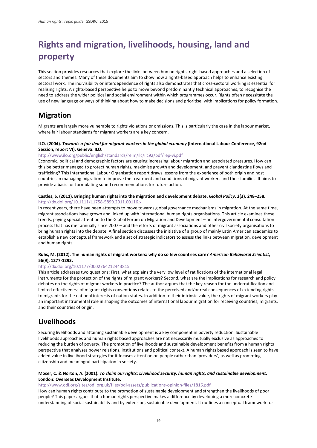## <span id="page-21-0"></span>**Rights and migration, livelihoods, housing, land and property**

This section provides resources that explore the links between human rights, right-based approaches and a selection of sectors and themes. Many of these documents aim to show how a rights-based approach helps to enhance existing sectoral work. The indivisibility or interdependence of rights also demonstrates that cross-sectoral working is essential for realising rights. A rights-based perspective helps to move beyond predominantly technical approaches, to recognise the need to address the wider political and social environment within which programmes occur. Rights often necessitate the use of new language or ways of thinking about how to make decisions and prioritise, with implications for policy formation.

## **Migration**

Migrants are largely more vulnerable to rights violations or omissions. This is particularly the case in the labour market, where fair labour standards for migrant workers are a key concern.

#### **ILO. (2004).** *Towards a fair deal for migrant workers in the global economy* **(International Labour Conference, 92nd Session, report VI). Geneva: ILO.**

#### <http://www.ilo.org/public/english/standards/relm/ilc/ilc92/pdf/rep-vi.pdf>

Economic, political and demographic factors are causing increasing labour migration and associated pressures. How can this be better managed to protect human rights, maximise growth and development, and prevent clandestine flows and trafficking? This International Labour Organisation report draws lessons from the experience of both origin and host countries in managing migration to improve the treatment and conditions of migrant workers and their families. It aims to provide a basis for formulating sound recommendations for future action.

#### **Castles, S. (2011). Bringing human rights into the migration and development debate.** *Global Policy***, 2(3), 248–258.**  <http://dx.doi.org/10.1111/j.1758-5899.2011.00116.x>

In recent years, there have been attempts to move towards global governance mechanisms in migration. At the same time, migrant associations have grown and linked up with international human rights organisations. This article examines these trends, paying special attention to the Global Forum on Migration and Development – an intergovernmental consultation process that has met annually since 2007 – and the efforts of migrant associations and other civil society organisations to bring human rights into the debate. A final section discusses the initiative of a group of mainly Latin American academics to establish a new conceptual framework and a set of strategic indicators to assess the links between migration, development and human rights.

#### **Ruhs, M. (2012). The human rights of migrant workers: why do so few countries care?** *American Behavioral Scientist***, 56(9), 1277-1293.**

#### <http://dx.doi.org/10.1177/0002764212443815>

This article addresses two questions: First, what explains the very low level of ratifications of the international legal instruments for the protection of the rights of migrant workers? Second, what are the implications for research and policy debates on the rights of migrant workers in practice? The author argues that the key reason for the underratification and limited effectiveness of migrant rights conventions relates to the perceived and/or real consequences of extending rights to migrants for the national interests of nation-states. In addition to their intrinsic value, the rights of migrant workers play an important instrumental role in shaping the outcomes of international labour migration for receiving countries, migrants, and their countries of origin.

## **Livelihoods**

Securing livelihoods and attaining sustainable development is a key component in poverty reduction. Sustainable livelihoods approaches and human rights based approaches are not necessarily mutually exclusive as approaches to reducing the burden of poverty. The promotion of livelihoods and sustainable development benefits from a human rights perspective that analyses power relations, institutions and political context. A human rights based approach is seen to have added value in livelihood strategies for it focuses attention on people rather than 'providers', as well as promoting citizenship and meaningful participation in society.

#### **Moser, C. & Norton, A. (2001).** *To claim our rights: Livelihood security, human rights, and sustainable development***. London: Overseas Development Institute.**

<http://www.odi.org/sites/odi.org.uk/files/odi-assets/publications-opinion-files/1816.pdf>

How can human rights contribute to the promotion of sustainable development and strengthen the livelihoods of poor people? This paper argues that a human rights perspective makes a difference by developing a more concrete understanding of social sustainability and by extension, sustainable development. It outlines a conceptual framework for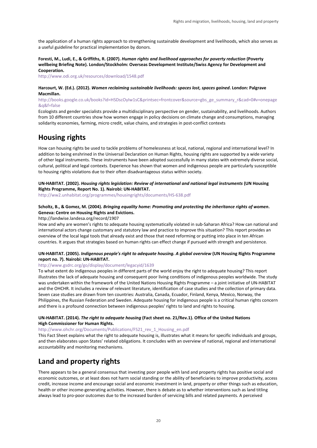the application of a human rights approach to strengthening sustainable development and livelihoods, which also serves as a useful guideline for practical implementation by donors.

**Foresti, M., Ludi, E., & Griffiths, R. (2007).** *Human rights and livelihood approaches for poverty reduction* **(Poverty wellbeing Briefing Note). London/Stockholm: Overseas Development Institute/Swiss Agency for Development and Cooperation.** 

<http://www.odi.org.uk/resources/download/1548.pdf>

#### **Harcourt, W. (Ed.). (2012).** *Women reclaiming sustainable livelihoods: spaces lost, spaces gained***. London: Palgrave Macmillan.**

[http://books.google.co.uk/books?id=HSDscOyIw1sC&printsec=frontcover&source=gbs\\_ge\\_summary\\_r&cad=0#v=onepage](http://books.google.co.uk/books?id=HSDscOyIw1sC&printsec=frontcover&source=gbs_ge_summary_r&cad=0%23v=onepage&q&f=false) [&q&f=false](http://books.google.co.uk/books?id=HSDscOyIw1sC&printsec=frontcover&source=gbs_ge_summary_r&cad=0%23v=onepage&q&f=false) 

Ecologists and gender specialists provide a multidisciplinary perspective on gender, sustainability, and livelihoods. Authors from 10 different countries show how women engage in policy decisions on climate change and consumptions, managing solidarity economies, farming, micro credit, value chains, and strategies in post-conflict contexts

## **Housing rights**

How can housing rights be used to tackle problems of homelessness at local, national, regional and international level? In addition to being enshrined in the Universal Declaration on Human Rights, housing rights are supported by a wide variety of other legal instruments. These instruments have been adopted successfully in many states with extremely diverse social, cultural, political and legal contexts. Experience has shown that women and indigenous people are particularly susceptible to housing rights violations due to their often disadvantageous status within society.

#### **UN-HABITAT. (2002).** *Housing rights legislation: Review of international and national legal instruments* **(UN Housing Rights Programme, Report No. 1). Nairobi: UN-HABITAT.**

<http://ww2.unhabitat.org/programmes/housingrights/documents/HS-638.pdf>

#### **Scholtz, B., & Gomez, M. (2004).** *Bringing equality home: Promoting and protecting the inheritance rights of women***. Geneva: Centre on Housing Rights and Evictions.**

#### http://landwise.landesa.org/record/1907

How and why are women's rights to adequate housing systematically violated in sub-Saharan Africa? How can national and international actors change customary and statutory law and practice to improve this situation? This report provides an overview of the local legal tools that already exist and those that need reforming or putting into place in ten African countries. It argues that strategies based on human rights can effect change if pursued with strength and persistence.

#### **UN-HABITAT. (2005).** *Indigenous people's right to adequate housing. A global overview* **(UN Housing Rights Programme report no. 7). Nairobi: UN-HABITAT.**

#### <http://www.gsdrc.org/go/display/document/legacyid/1639>

To what extent do indigenous peoples in different parts of the world enjoy the right to adequate housing? This report illustrates the lack of adequate housing and consequent poor living conditions of indigenous peoples worldwide. The study was undertaken within the framework of the United Nations Housing Rights Programme – a joint initiative of UN-HABITAT and the OHCHR. It includes a review of relevant literature, identification of case studies and the collection of primary data. Seven case studies are drawn from ten countries: Australia, Canada, Ecuador, Finland, Kenya, Mexico, Norway, the Philippines, the Russian Federation and Sweden. Adequate housing for indigenous people is a critical human rights concern and there is a profound connection between indigenous peoples' rights to land and rights to housing.

#### **UN-HABITAT. (2014).** *The right to adequate housing* **(Fact sheet no. 21/Rev.1). Office of the United Nations High Commissioner for Human Rights.**

#### [http://www.ohchr.org/Documents/Publications/FS21\\_rev\\_1\\_Housing\\_en.pdf](http://www.ohchr.org/Documents/Publications/FS21_rev_1_Housing_en.pdf)

This Fact Sheet explains what the right to adequate housing is, illustrates what it means for specific individuals and groups, and then elaborates upon States' related obligations. It concludes with an overview of national, regional and international accountability and monitoring mechanisms.

## **Land and property rights**

There appears to be a general consensus that investing poor people with land and property rights has positive social and economic outcomes, or at least does not harm social standing or the ability of beneficiaries to improve productivity, access credit, increase income and encourage social and economic investment in land, property or other things such as education, health or other income-generating activities. However, there is debate as to whether interventions such as land titling always lead to pro-poor outcomes due to the increased burden of servicing bills and related payments. A perceived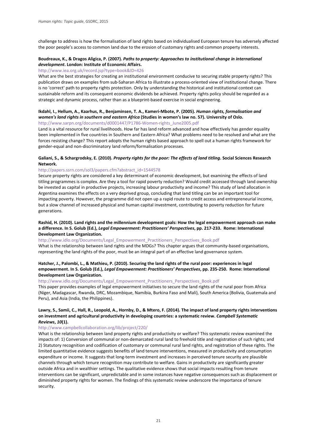challenge to address is how the formalisation of land rights based on individualised European tenure has adversely affected the poor people's access to common land due to the erosion of customary rights and common property interests.

#### **Boudreaux, K., & Dragos Aligica, P. (2007).** *Paths to property: Approaches to institutional change in international development***. London: Institute of Economic Affairs.**

#### <http://www.iea.org.uk/record.jsp?type=book&ID=426>

What are the best strategies for creating an institutional environment conducive to securing stable property rights? This publication draws on examples from sub-Saharan Africa to illustrate a process-oriented view of institutional change. There is no 'correct' path to property rights protection. Only by understanding the historical and institutional context can sustainable reform and its consequent economic dividends be achieved. Property rights policy should be regarded as a strategic and dynamic process, rather than as a blueprint-based exercise in social engineering.

#### **Ikdahl, I., Hellum, A., Kaarhus, R., Benjaminsen, T. A., Kameri-Mbote, P. (2005).** *Human rights, formalisation and women's land rights in southern and eastern Africa* **(Studies in women's law no. 57). University of Oslo.** [http://www.sarpn.org/documents/d0001447/P1786-Women-rights\\_June2005.pdf](http://www.sarpn.org/documents/d0001447/P1786-Women-rights_June2005.pdf)

Land is a vital resource for rural livelihoods. How far has land reform advanced and how effectively has gender equality been implemented in five countries in Southern and Eastern Africa? What problems need to be resolved and what are the forces resisting change? This report adopts the human rights based approach to spell out a human rights framework for gender-equal and non-discriminatory land reform/formalisation processes.

#### **Galiani, S., & Schargrodsky, E. (2010).** *Property rights for the poor: The effects of land titling***. Social Sciences Research Network.**

#### [http://papers.ssrn.com/sol3/papers.cfm?abstract\\_id=1544578](http://papers.ssrn.com/sol3/papers.cfm?abstract_id=1544578)

Secure property rights are considered a key determinant of economic development, but examining the effects of land titling programmes is complex. Are they a tool for rapid poverty reduction? Would credit accessed through land ownership be invested as capital in productive projects, increasing labour productivity and income? This study of land allocation in Argentina examines the effects on a very deprived group, concluding that land titling can be an important tool for impacting poverty. However, the programme did not open up a rapid route to credit access and entrepreneurial income, but a slow channel of increased physical and human capital investment, contributing to poverty reduction for future generations.

#### **Rashid, H. (2010). Land rights and the millennium development goals: How the legal empowerment approach can make a difference. In S. Golub (Ed.),** *Legal Empowerment: Practitioners' Perspectives***, pp. 217-233. Rome: International Development Law Organization.**

[http://www.idlo.org/Documents/Legal\\_Empowerment\\_Practitioners\\_Perspectives\\_Book.pdf](http://www.idlo.org/Documents/Legal_Empowerment_Practitioners_Perspectives_Book.pdf)

What is the relationship between land rights and the MDGs? This chapter argues that community-based organisations, representing the land rights of the poor, must be an integral part of an effective land governance system.

#### **Hatcher, J., Palombi, L., & Mathieu, P. (2010). Securing the land rights of the rural poor: experiences in legal empowerment. In S. Golub (Ed.),** *Legal Empowerment: Practitioners' Perspectives***, pp. 235-250. Rome: International Development Law Organization.**

[http://www.idlo.org/Documents/Legal\\_Empowerment\\_Practitioners\\_Perspectives\\_Book.pdf](http://www.idlo.org/Documents/Legal_Empowerment_Practitioners_Perspectives_Book.pdf)

This paper provides examples of legal empowerment initiatives to secure the land rights of the rural poor from Africa (Niger, Madagascar, Rwanda, DRC, Mozambique, Namibia, Burkina Faso and Mali), South America (Bolivia, Guatemala and Peru), and Asia (India, the Philippines).

#### **Lawry, S., Samii, C., Hall, R., Leopold, A., Hornby, D., & Mtero, F. (2014). The impact of land property rights interventions on investment and agricultural productivity in developing countries: a systematic review.** *Campbell Systematic Reviews***,** *10***(1).**

#### <http://www.campbellcollaboration.org/lib/project/220/>

What is the relationship between land property rights and productivity or welfare? This systematic review examined the impacts of: 1) Conversion of communal or non-demarcated rural land to freehold title and registration of such rights; and 2) Statutory recognition and codification of customary or communal rural land rights, and registration of these rights. The limited quantitative evidence suggests benefits of land tenure interventions, measured in productivity and consumption expenditure or income. It suggests that long-term investment and increases in perceived tenure security are plausible channels through which tenure recognition may contribute to welfare. Gains in productivity are significantly greater outside Africa and in wealthier settings. The qualitative evidence shows that social impacts resulting from tenure interventions can be significant, unpredictable and in some instances have negative consequences such as displacement or diminished property rights for women. The findings of this systematic review underscore the importance of tenure security.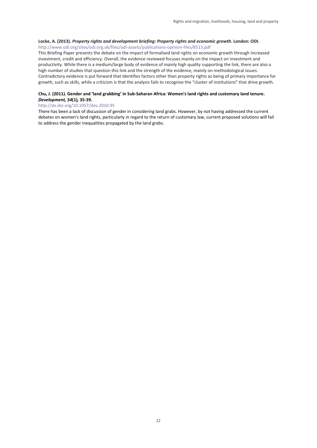#### **Locke, A. (2013).** *Property rights and development briefing: Property rights and economic growth***. London: ODI.**  <http://www.odi.org/sites/odi.org.uk/files/odi-assets/publications-opinion-files/8513.pdf>

This Briefing Paper presents the debate on the impact of formalised land rights on economic growth through increased investment, credit and efficiency. Overall, the evidence reviewed focuses mainly on the impact on investment and productivity. While there is a medium/large body of evidence of mainly high quality supporting the link, there are also a high number of studies that question this link and the strength of the evidence, mainly on methodological issues. Contradictory evidence is put forward that identifies factors other than property rights as being of primary importance for growth, such as skills, while a criticism is that the analysis fails to recognise the "cluster of institutions" that drive growth.

#### **Chu, J. (2011). Gender and 'land grabbing' in Sub-Saharan Africa: Women's land rights and customary land tenure.**  *Development, 54***(1)***,* **35-39.**

#### <http://dx.doi.org/10.1057/dev.2010.95>

There has been a lack of discussion of gender in considering land grabs. However, by not having addressed the current debates on women's land rights, particularly in regard to the return of customary law, current proposed solutions will fail to address the gender inequalities propagated by the land grabs.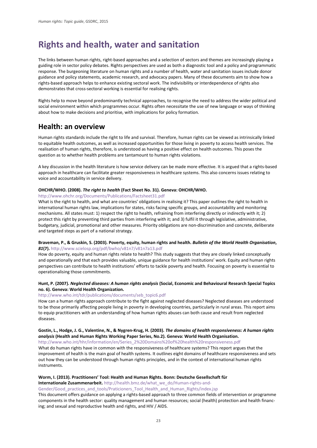## <span id="page-25-0"></span>**Rights and health, water and sanitation**

The links between human rights, right-based approaches and a selection of sectors and themes are increasingly playing a guiding role in sector policy debates. Rights perspectives are used as both a diagnostic tool and a policy and programmatic response. The burgeoning literature on human rights and a number of health, water and sanitation issues include donor guidance and policy statements, academic research, and advocacy papers. Many of these documents aim to show how a rights-based approach helps to enhance existing sectoral work. The indivisibility or interdependence of rights also demonstrates that cross-sectoral working is essential for realising rights.

Rights help to move beyond predominantly technical approaches, to recognise the need to address the wider political and social environment within which programmes occur. Rights often necessitate the use of new language or ways of thinking about how to make decisions and prioritise, with implications for policy formation.

## **Health: an overview**

Human rights standards include the right to life and survival. Therefore, human rights can be viewed as intrinsically linked to equitable health outcomes, as well as increased opportunities for those living in poverty to access health services. The realisation of human rights, therefore, is understood as having a positive effect on health outcomes. This poses the question as to whether health problems are tantamount to human rights violations.

A key discussion in the health literature is how service delivery can be made more effective. It is argued that a rights-based approach in healthcare can facilitate greater responsiveness in healthcare systems. This also concerns issues relating to voice and accountability in service delivery.

#### **OHCHR/WHO. (2008).** *The right to health* **(Fact Sheet No. 31). Geneva: OHCHR/WHO.**

#### <http://www.ohchr.org/Documents/Publications/Factsheet31.pdf>

What is the right to health, and what are countries' obligations in realising it? This paper outlines the right to health in international human rights law, implications for states, risks facing specific groups, and accountability and monitoring mechanisms. All states must: 1) respect the right to health, refraining from interfering directly or indirectly with it; 2) protect this right by preventing third parties from interfering with it; and 3) fulfil it through legislative, administrative, budgetary, judicial, promotional and other measures. Priority obligations are non-discrimination and concrete, deliberate and targeted steps as part of a national strategy.

#### **Braveman, P., & Gruskin, S. (2003). Poverty, equity, human rights and health.** *Bulletin of the World Health Organisation***,**  *81***(7).** <http://www.scielosp.org/pdf/bwho/v81n7/v81n7a13.pdf>

How do poverty, equity and human rights relate to health? This study suggests that they are closely linked conceptually and operationally and that each provides valuable, unique guidance for health institutions' work. Equity and human rights perspectives can contribute to health institutions' efforts to tackle poverty and health. Focusing on poverty is essential to operationalising those commitments.

#### **Hunt, P. (2007).** *Neglected diseases: A human rights analysis* **(Social, Economic and Behavioural Research Special Topics no. 6). Geneva: World Health Organization.**

#### [http://www.who.int/tdr/publications/documents/seb\\_topic6.pdf](http://www.who.int/tdr/publications/documents/seb_topic6.pdf)

How can a human rights approach contribute to the fight against neglected diseases? Neglected diseases are understood to be those primarily affecting people living in poverty in developing countries, particularly in rural areas. This report aims to equip practitioners with an understanding of how human rights abuses can both cause and result from neglected diseases.

#### **Gostin, L., Hodge, J. G., Valentine, N., & Nygren-Krug, H. (2003).** *The domains of health responsiveness: A human rights analysis* **(Health and Human Rights Working Paper Series, No.2). Geneva: World Health Organisation.**

[http://www.who.int/hhr/information/en/Series\\_2%20Domains%20of%20health%20responsiveness.pdf](http://www.who.int/hhr/information/en/Series_2%20Domains%20of%20health%20responsiveness.pdf) What do human rights have in common with the responsiveness of healthcare systems? This report argues that the improvement of health is the main goal of health systems. It outlines eight domains of healthcare responsiveness and sets out how they can be understood through human rights principles, and in the context of international human rights instruments.

#### **Worm, I. (2013). Practitioners' Tool: Health and Human Rights. Bonn: Deutsche Gesellschaft für**

**Internationale Zusammenarbeit.** [http://health.bmz.de/what\\_we\\_do/Human-rights-and-](http://health.bmz.de/what_we_do/Human-rights-and-Gender/Good_practices_and_tools/Praticioners_Tool_Health_and_Human_Rights/index.jsp)

[Gender/Good\\_practices\\_and\\_tools/Praticioners\\_Tool\\_Health\\_and\\_Human\\_Rights/index.jsp](http://health.bmz.de/what_we_do/Human-rights-and-Gender/Good_practices_and_tools/Praticioners_Tool_Health_and_Human_Rights/index.jsp)

This document offers guidance on applying a rights-based approach to three common fields of intervention or programme components in the health sector: quality management and human resources; social (health) protection and health financing; and sexual and reproductive health and rights, and HIV / AIDS.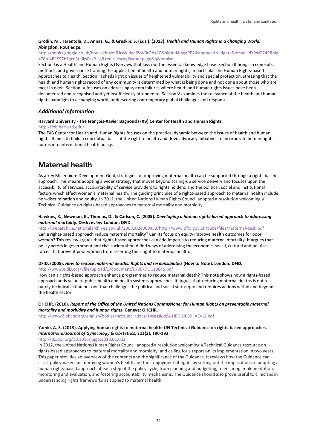#### **Grodin, M., Tarantola, D., Annas, G., & Gruskin, S. (Eds.). (2013).** *Health and Human Rights in a Changing World.* **Abingdon: Routledge.**

#### [http://books.google.co.uk/books?hl=en&lr=&id=cJ2oV0rGhx8C&oi=fnd&pg=PP2&dq=health+rights&ots=dUdY9WF74P&sig](http://books.google.co.uk/books?hl=en&lr=&id=cJ2oV0rGhx8C&oi=fnd&pg=PP2&dq=health+rights&ots=dUdY9WF74P&sig=78n-4R1SS7b5gcn3udksPzxP_ig&redir_esc=y%23v=onepage&q&f=false) [=78n-4R1SS7b5gcn3udksPzxP\\_ig&redir\\_esc=y#v=onepage&q&f=false](http://books.google.co.uk/books?hl=en&lr=&id=cJ2oV0rGhx8C&oi=fnd&pg=PP2&dq=health+rights&ots=dUdY9WF74P&sig=78n-4R1SS7b5gcn3udksPzxP_ig&redir_esc=y%23v=onepage&q&f=false)

Section I is a Health and Human Rights Overview that lays out the essential knowledge base. Section II brings in concepts, methods, and governance framing the application of health and human rights, in particular the Human Rights-based Approaches to Health. Section III sheds light on issues of heightened vulnerability and special protection, stressing that the health and human rights record of any community is determined by what is being done and not done about those who are most in need. Section IV focuses on addressing system failures where health and human rights issues have been documented and recognised and yet insufficiently attended to. Section V examines the relevance of the health and human rights paradigm to a changing world, underscoring contemporary global challenges and responses.

#### *Additional Information*

#### **Harvard University - The François-Xavier Bagnoud (FXB) Center for Health and Human Rights**

#### <http://fxb.harvard.edu/>

The FXB Center for Health and Human Rights focuses on the practical dynamic between the issues of health and human rights. It aims to build a conceptual basis of the right to health and drive advocacy initiatives to incorporate human rights norms into international health policy.

## **Maternal health**

As a key Millennium Development Goal, strategies for improving maternal health can be supported through a rights-based approach. This means adopting a wider strategy that moves beyond scaling-up service delivery and focuses upon the accessibility of services, accountability of service providers to rights holders, and the political, social and institutional factors which affect women's maternal health. The guiding principles of a rights-based approach to maternal health include non-discrimination and equity. In 2012, the United Nations Human Rights Council adopted a resolution welcoming a Technical Guidance on rights-based approaches to maternal mortality and morbidity.

#### **Hawkins, K., Newman, K., Thomas, D., & Carlson, C. (2005).** *Developing a human rights-based approach to addressing maternal mortality. Desk review* **London: DFID.**

[http://webarchive.nationalarchives.gov.uk/20081024000458/http://www.dfid.gov.uk/pubs/files/maternal-desk.pdf](http://webarchive.nationalarchives.gov.uk/20081024000458/http:/www.dfid.gov.uk/pubs/files/maternal-desk.pdf) Can a rights-based approach reduce maternal mortality? Can its focus on equity improve health outcomes for poor

women? This review argues that rights-based approaches can add impetus to reducing maternal mortality. It argues that policy actors in government and civil society should find ways of addressing the economic, social, cultural and political forces that prevent poor women from asserting their right to maternal health.

#### **DFID. (2005).** *How to reduce maternal deaths: Rights and responsibilities* **(How to Note). London: DFID.**

<http://www.eldis.org/vfile/upload/1/document/0708/DOC18845.pdf>

How can a rights-based approach enhance programmes to reduce maternal death? This note shows how a rights-based approach adds value to public health and health systems approaches. It argues that reducing maternal deaths is not a purely technical action but one that challenges the political and social status quo and requires actions within and beyond the health sector.

#### **OHCHR. (2010).** *Report of the Office of the United Nations Commissioner for Human Rights on preventable maternal mortality and morbidity and human rights***. Geneva: OHCHR.**

[http://www2.ohchr.org/english/bodies/hrcouncil/docs/14session/A.HRC.14.39\\_AEV-2.pdf](http://www2.ohchr.org/english/bodies/hrcouncil/docs/14session/A.HRC.14.39_AEV-2.pdf)

#### **Yamin, A. E. (2013). Applying human rights to maternal health: UN Technical Guidance on rights-based approaches.** *International Journal of Gynecology & Obstetrics***,** *121***(2), 190-193.**

<http://dx.doi.org/10.1016/j.ijgo.2013.01.002>

In 2012, the United Nations Human Rights Council adopted a resolution welcoming a Technical Guidance resource on rights-based approaches to maternal mortality and morbidity, and calling for a report on its implementation in two years. This paper provides an overview of the contents and the significance of the Guidance. It reviews how the Guidance can assist policymakers in improving women's health and their enjoyment of rights by setting out the implications of adopting a human rights-based approach at each step of the policy cycle, from planning and budgeting, to ensuring implementation, monitoring and evaluation, and fostering accountability mechanisms. The Guidance should also prove useful to clinicians in understanding rights frameworks as applied to maternal health.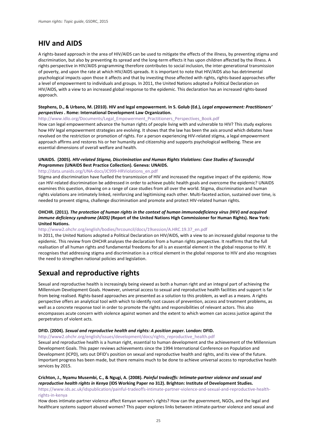## **HIV and AIDS**

A rights-based approach in the area of HIV/AIDS can be used to mitigate the effects of the illness, by preventing stigma and discrimination, but also by preventing its spread and the long-term effects it has upon children affected by the illness. A rights perspective in HIV/AIDS programming therefore contributes to social inclusion, the inter-generational transmission of poverty, and upon the rate at which HIV/AIDS spreads. It is important to note that HIV/AIDS also has detrimental psychological impacts upon those it affects and that by investing those affected with rights, rights-based approaches offer a level of empowerment to individuals and groups. In 2011, the United Nations adopted a Political Declaration on HIV/AIDS, with a view to an increased global response to the epidemic. This declaration has an increased rights-based approach.

#### **Stephens, D., & Urbano, M. (2010). HIV and legal empowerment. In S. Golub (Ed.),** *Legal empowerment: Practitioners' perspectives* **. Rome: International Development Law Organization.**

[http://www.idlo.org/Documents/Legal\\_Empowerment\\_Practitioners\\_Perspectives\\_Book.pdf](http://www.idlo.org/Documents/Legal_Empowerment_Practitioners_Perspectives_Book.pdf)

How can legal empowerment advance the human rights of people living with and vulnerable to HIV? This study explores how HIV legal empowerment strategies are evolving. It shows that the law has been the axis around which debates have revolved on the restriction or promotion of rights. For a person experiencing HIV-related stigma, a legal empowerment approach affirms and restores his or her humanity and citizenship and supports psychological wellbeing. These are essential dimensions of overall welfare and health.

#### **UNAIDS. (2005).** *HIV-related Stigma, Discrimination and Human Rights Violations: Case Studies of Successful Programmes* **(UNAIDS Best Practice Collection). Geneva: UNAIDS.**

#### [http://data.unaids.org/UNA-docs/JC999-HRViolations\\_en.pdf](http://data.unaids.org/UNA-docs/JC999-HRViolations_en.pdf)

Stigma and discrimination have fuelled the transmission of HIV and increased the negative impact of the epidemic. How can HIV-related discrimination be addressed in order to achieve public health goals and overcome the epidemic? UNAIDS examines this question, drawing on a range of case studies from all over the world. Stigma, discrimination and human rights violations are intimately linked, reinforcing and legitimising each other. Multi-faceted action, sustained over time, is needed to prevent stigma, challenge discrimination and promote and protect HIV-related human rights.

#### **OHCHR. (2011).** *The protection of human rights in the context of human immunodeficiency virus (HIV) and acquired immune deficiency syndrome (AIDS)* **(Report of the United Nations High Commissioner for Human Rights). New York: United Nations.**

#### [http://www2.ohchr.org/english/bodies/hrcouncil/docs/19session/A.HRC.19.37\\_en.pdf](http://www2.ohchr.org/english/bodies/hrcouncil/docs/19session/A.HRC.19.37_en.pdf)

In 2011, the United Nations adopted a Political Declaration on HIV/AIDS, with a view to an increased global response to the epidemic. This review from OHCHR analyses the declaration from a human rights perspective. It reaffirms that the full realisation of all human rights and fundamental freedoms for all is an essential element in the global response to HIV. It recognises that addressing stigma and discrimination is a critical element in the global response to HIV and also recognises the need to strengthen national policies and legislation.

## **Sexual and reproductive rights**

Sexual and reproductive health is increasingly being viewed as both a human right and an integral part of achieving the Millennium Development Goals. However, universal access to sexual and reproductive health facilities and support is far from being realised. Rights-based approaches are presented as a solution to this problem, as well as a means. A rights perspective offers an analytical tool with which to identify root causes of prevention, access and treatment problems, as well as a concrete response tool in order to promote the rights and responsibilities of relevant actors. This also encompasses acute concern with violence against women and the extent to which women can access justice against the perpetrators of violent acts.

#### **DFID. (2004).** *Sexual and reproductive health and rights: A position paper***. London: DFID.**

[http://www2.ohchr.org/english/issues/development/docs/rights\\_reproductive\\_health.pdf](http://www2.ohchr.org/english/issues/development/docs/rights_reproductive_health.pdf)

Sexual and reproductive health is a human right, essential to human development and the achievement of the Millennium Development Goals. This paper reviews achievements since the 1994 International Conference on Population and Development (ICPD), sets out DFID's position on sexual and reproductive health and rights, and its view of the future. Important progress has been made, but there remains much to be done to achieve universal access to reproductive health services by 2015.

**Crichton, J., Nyamu Musembi, C., & Ngugi, A. (2008).** *Painful tradeoffs: Intimate-partner violence and sexual and reproductive health rights in Kenya* **(IDS Working Paper no 312). Brighton: Institute of Development Studies.** [https://www.ids.ac.uk/idspublication/painful-tradeoffs-intimate-partner-violence-and-sexual-and-reproductive-health](https://www.ids.ac.uk/idspublication/painful-tradeoffs-intimate-partner-violence-and-sexual-and-reproductive-health-rights-in-kenya)[rights-in-kenya](https://www.ids.ac.uk/idspublication/painful-tradeoffs-intimate-partner-violence-and-sexual-and-reproductive-health-rights-in-kenya)

How does intimate-partner violence affect Kenyan women's rights? How can the government, NGOs, and the legal and healthcare systems support abused women? This paper explores links between intimate-partner violence and sexual and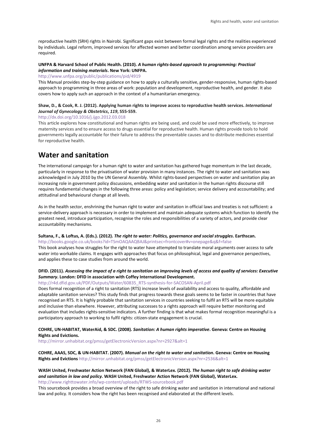reproductive health (SRH) rights in Nairobi. Significant gaps exist between formal legal rights and the realities experienced by individuals. Legal reform, improved services for affected women and better coordination among service providers are required.

#### **UNFPA & Harvard School of Public Health. (2010).** *A human rights-based approach to programming: Practical information and training materials***. New York: UNFPA.**

#### <http://www.unfpa.org/public/publications/pid/4919>

This Manual provides step-by-step guidance on how to apply a culturally sensitive, gender-responsive, human rights-based approach to programming in three areas of work: population and development, reproductive health, and gender. It also covers how to apply such an approach in the context of a humanitarian emergency.

#### **Shaw, D., & Cook, R. J. (2012). Applying human rights to improve access to reproductive health services.** *International Journal of Gynecology & Obstetrics***,** *119***, S55-S59.**

<http://dx.doi.org/10.1016/j.ijgo.2012.03.018>

This article explores how constitutional and human rights are being used, and could be used more effectively, to improve maternity services and to ensure access to drugs essential for reproductive health. Human rights provide tools to hold governments legally accountable for their failure to address the preventable causes and to distribute medicines essential for reproductive health.

## **Water and sanitation**

The international campaign for a human right to water and sanitation has gathered huge momentum in the last decade, particularly in response to the privatisation of water provision in many instances. The right to water and sanitation was acknowledged in July 2010 by the UN General Assembly. Whilst rights-based perspectives on water and sanitation play an increasing role in government policy discussions, embedding water and sanitation in the human rights discourse still requires fundamental changes in the following three areas: policy and legislation; service delivery and accountability; and attitudinal and behavioural change at all levels.

As in the health sector, enshrining the human right to water and sanitation in official laws and treaties is not sufficient: a service-delivery approach is necessary in order to implement and maintain adequate systems which function to identify the greatest need, introduce participation, recognise the roles and responsibilities of a variety of actors, and provide clear accountability mechanisms.

#### **Sultana, F., & Loftus, A. (Eds.). (2012).** *The right to water: Politics, governance and social struggles***. Earthscan.**

[http://books.google.co.uk/books?id=TSmOAQAAQBAJ&printsec=frontcover#v=onepage&q&f=false](http://books.google.co.uk/books?id=TSmOAQAAQBAJ&printsec=frontcover%23v=onepage&q&f=false) This book analyses how struggles for the right to water have attempted to translate moral arguments over access to safe water into workable claims. It engages with approaches that focus on philosophical, legal and governance perspectives, and applies these to case studies from around the world.

#### **DFID. (2011).** *Assessing the impact of a right to sanitation on improving levels of access and quality of services: Executive Summary***. London: DFID in association with Coffey International Development.**

#### [http://r4d.dfid.gov.uk/PDF/Outputs/Water/60835\\_RTS-synthesis-for-SACOSAN-April.pdf](http://r4d.dfid.gov.uk/PDF/Outputs/Water/60835_RTS-synthesis-for-SACOSAN-April.pdf)

Does formal recognition of a right to sanitation (RTS) increase levels of availability and access to quality, affordable and adaptable sanitation services? This study finds that progress towards these goals seems to be faster in countries that have recognised an RTS. It is highly probable that sanitation services in countries seeking to fulfil an RTS will be more equitable and inclusive than elsewhere. However, attributing successes to a rights approach will require better monitoring and evaluation that includes rights-sensitive indicators. A further finding is that what makes formal recognition meaningful is a participatory approach to working to fulfil rights: citizen-state engagement is crucial.

#### **COHRE, UN-HABITAT, WaterAid, & SDC. (2008).** *Sanitation: A human rights imperative***. Geneva: Centre on Housing Rights and Evictions.**

<http://mirror.unhabitat.org/pmss/getElectronicVersion.aspx?nr=2927&alt=1>

#### **COHRE, AAAS, SDC, & UN-HABITAT. (2007).** *Manual on the right to water and sanitation***. Geneva: Centre on Housing Rights and Evictions** <http://mirror.unhabitat.org/pmss/getElectronicVersion.aspx?nr=2536&alt=1>

#### **WASH United, Freshwater Action Network (FAN Global), & WaterLex. (2012).** *The human right to safe drinking water and sanitation in law and policy.* **WASH United, Freshwater Action Network (FAN Global), WaterLex.**

<http://www.righttowater.info/wp-content/uploads/RTWS-sourcebook.pdf>

This sourcebook provides a broad overview of the right to safe drinking water and sanitation in international and national law and policy. It considers how the right has been recognised and elaborated at the different levels.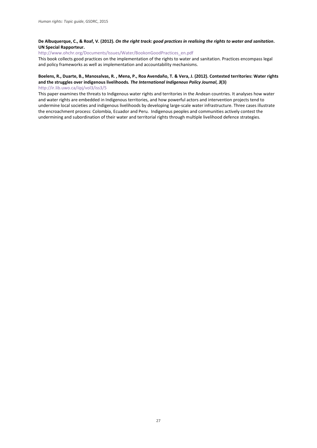#### **De Albuquerque, C., & Roaf, V. (2012).** *On the right track: good practices in realising the rights to water and sanitation***. UN Special Rapporteur.**

[http://www.ohchr.org/Documents/Issues/Water/BookonGoodPractices\\_en.pdf](http://www.ohchr.org/Documents/Issues/Water/BookonGoodPractices_en.pdf)

This book collects good practices on the implementation of the rights to water and sanitation. Practices encompass legal and policy frameworks as well as implementation and accountability mechanisms.

#### **Boelens, R., Duarte, B., Manosalvas, R. , Mena, P., Roa Avendaño, T. & Vera, J. (2012). Contested territories: Water rights and the struggles over indigenous livelihoods***. The International Indigenous Policy Journal***,** *3***(3)**

<http://ir.lib.uwo.ca/iipj/vol3/iss3/5>

This paper examines the threats to Indigenous water rights and territories in the Andean countries. It analyses how water and water rights are embedded in Indigenous territories, and how powerful actors and intervention projects tend to undermine local societies and indigenous livelihoods by developing large-scale water infrastructure. Three cases illustrate the encroachment process: Colombia, Ecuador and Peru. Indigenous peoples and communities actively contest the undermining and subordination of their water and territorial rights through multiple livelihood defence strategies.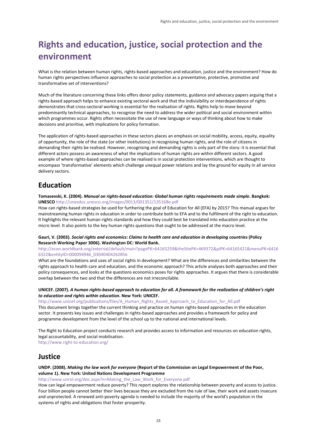## <span id="page-30-0"></span>**Rights and education, justice, social protection and the environment**

What is the relation between human rights, rights-based approaches and education, justice and the environment? How do human rights perspectives influence approaches to social protection as a preventative, protective, promotive and transformative set of interventions?

Much of the literature concerning these links offers donor policy statements, guidance and advocacy papers arguing that a rights-based approach helps to enhance existing sectoral work and that the indivisibility or interdependence of rights demonstrates that cross-sectoral working is essential for the realisation of rights. Rights help to move beyond predominantly technical approaches, to recognise the need to address the wider political and social environment within which programmes occur. Rights often necessitate the use of new language or ways of thinking about how to make decisions and prioritise, with implications for policy formation.

The application of rights-based approaches in these sectors places an emphasis on social mobility, access, equity, equality of opportunity, the role of the state (or other institutions) in recognising human rights, and the role of citizens in demanding their rights be realised. However, recognising and demanding rights is only part of the story: it is essential that different actors possess an awareness of what the implications of human rights are within different sectors. A good example of where rights-based approaches can be realised is in social protection interventions, which are thought to encompass 'transformative' elements which challenge unequal power relations and lay the ground for equity in all service delivery sectors.

## **Education**

**Tomasevski, K. (2004).** *Manual on rights-based education: Global human rights requirements made simple***. Bangkok: UNESCO** <http://unesdoc.unesco.org/images/0013/001351/135168e.pdf>

How can rights-based strategies be used for furthering the goal of Education for All (EFA) by 2015? This manual argues for mainstreaming human rights in education in order to contribute both to EFA and to the fulfilment of the right to education. It highlights the relevant human rights standards and how they could best be translated into education practice at the micro level. It also points to the key human rights questions that ought to be addressed at the macro level.

#### **Gauri, V. (2003).** *Social rights and economics: Claims to health care and education in developing countries* **(Policy Research Working Paper 3006). Washington DC: World Bank.**

[http://econ.worldbank.org/external/default/main?pagePK=64165259&theSitePK=469372&piPK=64165421&menuPK=6416](http://econ.worldbank.org/external/default/main?pagePK=64165259&theSitePK=469372&piPK=64165421&menuPK=64166322&entityID=000094946_03040404262856) [6322&entityID=000094946\\_03040404262856](http://econ.worldbank.org/external/default/main?pagePK=64165259&theSitePK=469372&piPK=64165421&menuPK=64166322&entityID=000094946_03040404262856)

What are the foundations and uses of social rights in development? What are the differences and similarities between the rights approach to health care and education, and the economic approach? This article analyses both approaches and their policy consequences, and looks at the questions economics poses for rights approaches. It argues that there is considerable overlap between the two and that the differences are not irreconcilable.

#### **UNICEF. (2007).** *A human rights-based approach to education for all. A framework for the realization of children's right to education and rights within education***. New York: UNICEF.**

http://www.unicef.org/publications/files/A\_Human\_Rights\_Based\_Approach\_to\_Education\_for\_All.pdf

This document brings together the current thinking and practice on human rights-based approaches in the education sector. It presents key issues and challenges in rights-based approaches and provides a framework for policy and programme development from the level of the school up to the national and international levels.

The Right to Education project conducts research and provides access to information and resources on education rights, legal accountability, and social mobilisation.

<http://www.right-to-education.org/>

### **Justice**

#### **UNDP. (2008).** *Making the law work for everyone* **(Report of the Commission on Legal Empowerment of the Poor, volume 1). New York: United Nations Development Programme**

[http://www.unrol.org/doc.aspx?n=Making\\_the\\_Law\\_Work\\_for\\_Everyone.pdf](http://www.unrol.org/doc.aspx?n=Making_the_Law_Work_for_Everyone.pdf)

How can legal empowerment reduce poverty? This report explores the relationship between poverty and access to justice. Four billion people cannot better their lives because they are excluded from the rule of law, their work and assets insecure and unprotected. A renewed anti-poverty agenda is needed to include the majority of the world's population in the systems of rights and obligations that foster prosperity.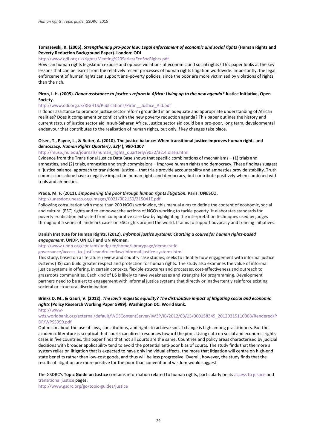#### **Tomasevski, K. (2005).** *Strengthening pro-poor law: Legal enforcement of economic and social rights* **(Human Rights and Poverty Reduction Background Paper). London: ODI**

#### <http://www.odi.org.uk/rights/Meeting%20Series/EcoSocRights.pdf>

How can human rights legislation expose and oppose violations of economic and social rights? This paper looks at the key lessons that can be learnt from the relatively recent processes of human rights litigation worldwide. Importantly, the legal enforcement of human rights can support anti-poverty policies, since the poor are more victimised by violations of rights than the rich.

#### **Piron, L-H. (2005).** *Donor assistance to justice s reform in Africa: Living up to the new agenda?* **Justice Initiative, Open Society.**

#### [http://www.odi.org.uk/RIGHTS/Publications/Piron\\_\\_Justice\\_Aid.pdf](http://www.odi.org.uk/RIGHTS/Publications/Piron__Justice_Aid.pdf)

Is donor assistance to promote justice sector reform grounded in an adequate and appropriate understanding of African realities? Does it complement or conflict with the new poverty reduction agenda? This paper outlines the history and current status of justice sector aid in sub-Saharan Africa. Justice sector aid could be a pro-poor, long term, developmental endeavour that contributes to the realisation of human rights, but only if key changes take place.

#### **Olsen, T., Payne, L., & Reiter, A. (2010). The justice balance: When transitional justice improves human rights and democracy.** *Human Rights Quarterly***,** *32***(4), 980-1007**

#### [http://muse.jhu.edu/journals/human\\_rights\\_quarterly/v032/32.4.olsen.html](http://muse.jhu.edu/journals/human_rights_quarterly/v032/32.4.olsen.html)

Evidence from the Transitional Justice Data Base shows that specific combinations of mechanisms – (1) trials and amnesties, and (2) trials, amnesties and truth commissions – improve human rights and democracy. These findings suggest a 'justice balance' approach to transitional justice – that trials provide accountability and amnesties provide stability. Truth commissions alone have a negative impact on human rights and democracy, but contribute positively when combined with trials and amnesties.

#### **Prada, M. F. (2011).** *Empowering the poor through human rights litigation.* **Paris: UNESCO.**

#### <http://unesdoc.unesco.org/images/0021/002150/215041E.pdf>

Following consultation with more than 200 NGOs worldwide, this manual aims to define the content of economic, social and cultural (ESC) rights and to empower the actions of NGOs working to tackle poverty. It elaborates standards for poverty eradication extracted from comparative case law by highlighting the interpretation techniques used by judges throughout a series of landmark cases on ESC rights around the world. It aims to support advocacy and training initiatives.

#### **Danish Institute for Human Rights. (2012).** *Informal justice systems: Charting a course for human rights-based engagement***. UNDP, UNICEF and UN Women.**

[http://www.undp.org/content/undp/en/home/librarypage/democratic-](http://www.undp.org/content/undp/en/home/librarypage/democratic-governance/access_to_justiceandruleoflaw/informal-justice-systems.html)

[governance/access\\_to\\_justiceandruleoflaw/informal-justice-systems.html](http://www.undp.org/content/undp/en/home/librarypage/democratic-governance/access_to_justiceandruleoflaw/informal-justice-systems.html)

This study, based on a literature review and country case studies, seeks to identify how engagement with informal justice systems (IJS) can build greater respect and protection for human rights. The study also examines the value of informal justice systems in offering, in certain contexts, flexible structures and processes, cost-effectiveness and outreach to grassroots communities. Each kind of IJS is likely to have weaknesses and strengths for programming. Development partners need to be alert to engagement with informal justice systems that directly or inadvertently reinforce existing societal or structural discrimination.

#### **Brinks D. M., & Gauri, V. (2012).** *The law's majestic equality? The distributive impact of litigating social and economic rights* **(Policy Research Working Paper 5999). Washington DC: World Bank.**

[http://www-](http://www-wds.worldbank.org/external/default/WDSContentServer/IW3P/IB/2012/03/15/000158349_20120315110008/Rendered/PDF/WPS5999.pdf)

#### [wds.worldbank.org/external/default/WDSContentServer/IW3P/IB/2012/03/15/000158349\\_20120315110008/Rendered/P](http://www-wds.worldbank.org/external/default/WDSContentServer/IW3P/IB/2012/03/15/000158349_20120315110008/Rendered/PDF/WPS5999.pdf) [DF/WPS5999.pdf](http://www-wds.worldbank.org/external/default/WDSContentServer/IW3P/IB/2012/03/15/000158349_20120315110008/Rendered/PDF/WPS5999.pdf)

Optimism about the use of laws, constitutions, and rights to achieve social change is high among practitioners. But the academic literature is sceptical that courts can direct resources toward the poor. Using data on social and economic rights cases in five countries, this paper finds that not all courts are the same. Countries and policy areas characterised by judicial decisions with broader applicability tend to avoid the potential anti-poor bias of courts. The study finds that the more a system relies on litigation that is expected to have only individual effects, the more that litigation will centre on high-end state benefits rather than low-cost goods, and thus will be less progressive. Overall, however, the study finds that the results of litigation are more positive for the poor than conventional wisdom would suggest.

#### The GSDRC's **Topic Guide on Justice** contains information related to human rights, particularly on it[s access to justice](http://www.gsdrc.org/go/topic-guides/justice/access-to-justice) and [transitional justice](http://www.gsdrc.org/go/topic-guides/justice/transitional-justice) pages.

<http://www.gsdrc.org/go/topic-guides/justice>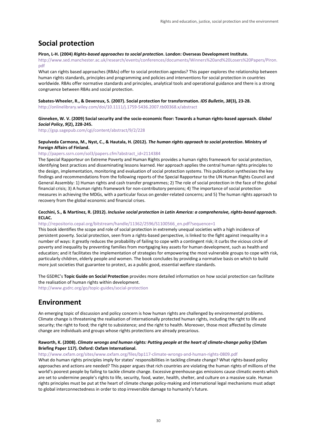## **Social protection**

#### **Piron, L-H. (2004)** *[Rights-based approaches to social protection](http://www.gsdrc.org/go/display/document/legacyid/1617)***. London: Overseas Development Institute.** [http://www.sed.manchester.ac.uk/research/events/conferences/documents/Winners%20and%20Losers%20Papers/Piron.](http://www.sed.manchester.ac.uk/research/events/conferences/documents/Winners%20and%20Losers%20Papers/Piron.pdf)

[pdf](http://www.sed.manchester.ac.uk/research/events/conferences/documents/Winners%20and%20Losers%20Papers/Piron.pdf)

What can rights based approaches (RBAs) offer to social protection agendas? This paper explores the relationship between human rights standards, principles and programming and policies and interventions for social protection in countries worldwide. RBAs offer normative standards and principles, analytical tools and operational guidance and there is a strong congruence between RBAs and social protection.

#### **Sabates-Wheeler, R., & Devereux, S. (2007). Social protection for transformation.** *IDS Bulletin***,** *38***(3), 23-28.**

<http://onlinelibrary.wiley.com/doi/10.1111/j.1759-5436.2007.tb00368.x/abstract>

#### **Ginneken, W. V. (2009) Social security and the socio-economic floor: Towards a human rights-based approach.** *Global Social Policy***,** *9***(2), 228-245.**

<http://gsp.sagepub.com/cgi/content/abstract/9/2/228>

#### **Sepulveda Carmona, M., Nyst, C., & Hautala, H. (2012).** *The human rights approach to social protection***. Ministry of Foreign Affairs of Finland.**

#### [http://papers.ssrn.com/sol3/papers.cfm?abstract\\_id=2114384](http://papers.ssrn.com/sol3/papers.cfm?abstract_id=2114384)

The Special Rapporteur on Extreme Poverty and Human Rights provides a human rights framework for social protection, identifying best practices and disseminating lessons learned. Her approach applies the central human rights principles to the design, implementation, monitoring and evaluation of social protection systems. This publication synthesises the key findings and recommendations from the following reports of the Special Rapporteur to the UN Human Rights Council and General Assembly: 1) Human rights and cash transfer programmes; 2) The role of social protection in the face of the global financial crisis; 3) A human rights framework for non-contributory pensions; 4) The importance of social protection measures in achieving the MDGs, with a particular focus on gender-related concerns; and 5) The human rights approach to recovery from the global economic and financial crises.

#### **Cecchini, S., & Martínez, R. (2012).** *Inclusive social protection in Latin America: a comprehensive, rights-based approach***. ECLAC.**

#### [http://repositorio.cepal.org/bitstream/handle/11362/2596/S1100566\\_en.pdf?sequence=1](http://repositorio.cepal.org/bitstream/handle/11362/2596/S1100566_en.pdf?sequence=1)

This book identifies the scope and role of social protection in extremely unequal societies with a high incidence of persistent poverty. Social protection, seen from a rights-based perspective, is linked to the fight against inequality in a number of ways: it greatly reduces the probability of failing to cope with a contingent risk; it curbs the vicious circle of poverty and inequality by preventing families from mortgaging key assets for human development, such as health and education; and it facilitates the implementation of strategies for empowering the most vulnerable groups to cope with risk, particularly children, elderly people and women. The book concludes by providing a normative basis on which to build more just societies that guarantee to protect, as a public good, essential welfare standards.

The GSDRC's **Topic Guide on Social Protection** provides more detailed information on how social protection can facilitate the realisation of human rights within development.

<http://www.gsdrc.org/go/topic-guides/social-protection>

## **Environment**

An emerging topic of discussion and policy concern is how human rights are challenged by environmental problems. Climate change is threatening the realisation of internationally protected human rights, including the right to life and security; the right to food; the right to subsistence; and the right to health. Moreover, those most affected by climate change are individuals and groups whose rights protections are already precarious.

#### **Raworth, K. (2008).** *Climate wrongs and human rights: Putting people at the heart of climate-change policy* **(Oxfam Briefing Paper 117). Oxford: Oxfam International.**

<http://www.oxfam.org/sites/www.oxfam.org/files/bp117-climate-wrongs-and-human-rights-0809.pdf>

What do human rights principles imply for states' responsibilities in tackling climate change? What rights-based policy approaches and actions are needed? This paper argues that rich countries are violating the human rights of millions of the world's poorest people by failing to tackle climate change. Excessive greenhouse-gas emissions cause climatic events which are set to undermine people's rights to life, security, food, water, health, shelter, and culture on a massive scale. Human rights principles must be put at the heart of climate change policy-making and international legal mechanisms must adapt to global interconnectedness in order to stop irreversible damage to humanity's future.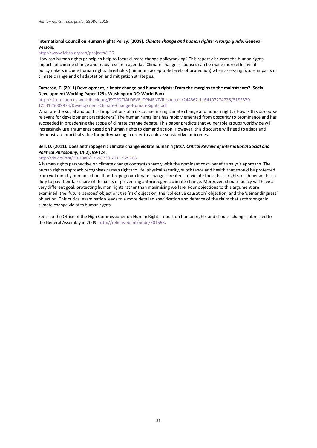#### **International Council on Human Rights Policy. (2008).** *Climate change and human rights: A rough guide***. Geneva: Versoix.**

#### <http://www.ichrp.org/en/projects/136>

How can human rights principles help to focus climate change policymaking? This report discusses the human rights impacts of climate change and maps research agendas. Climate change responses can be made more effective if policymakers include human rights thresholds (minimum acceptable levels of protection) when assessing future impacts of climate change and of adaptation and mitigation strategies.

#### **Cameron, E. (2011) Development, climate change and human rights: From the margins to the mainstream? (Social Development Working Paper 123). Washington DC: World Bank**

[http://siteresources.worldbank.org/EXTSOCIALDEVELOPMENT/Resources/244362-1164107274725/3182370-](http://siteresources.worldbank.org/EXTSOCIALDEVELOPMENT/Resources/244362-1164107274725/3182370-1253125009973/Development-Climate-Change-Human-Rights.pdf) [1253125009973/Development-Climate-Change-Human-Rights.pdf](http://siteresources.worldbank.org/EXTSOCIALDEVELOPMENT/Resources/244362-1164107274725/3182370-1253125009973/Development-Climate-Change-Human-Rights.pdf)

What are the social and political implications of a discourse linking climate change and human rights? How is this discourse relevant for development practitioners? The human rights lens has rapidly emerged from obscurity to prominence and has succeeded in broadening the scope of climate change debate. This paper predicts that vulnerable groups worldwide will increasingly use arguments based on human rights to demand action. However, this discourse will need to adapt and demonstrate practical value for policymaking in order to achieve substantive outcomes.

#### **Bell, D. (2011). Does anthropogenic climate change violate human rights***?. Critical Review of International Social and Political Philosophy***, 14(2), 99-124.**

#### <http://dx.doi.org/10.1080/13698230.2011.529703>

A human rights perspective on climate change contrasts sharply with the dominant cost–benefit analysis approach. The human rights approach recognises human rights to life, physical security, subsistence and health that should be protected from violation by human action. If anthropogenic climate change threatens to violate these basic rights, each person has a duty to pay their fair share of the costs of preventing anthropogenic climate change. Moreover, climate policy will have a very different goal: protecting human rights rather than maximising welfare. Four objections to this argument are examined: the 'future persons' objection; the 'risk' objection; the 'collective causation' objection; and the 'demandingness' objection. This critical examination leads to a more detailed specification and defence of the claim that anthropogenic climate change violates human rights.

See also the Office of the High Commissioner on Human Rights report on human rights and climate change submitted to the General Assembly in 2009[: http://reliefweb.int/node/301553.](http://reliefweb.int/node/301553)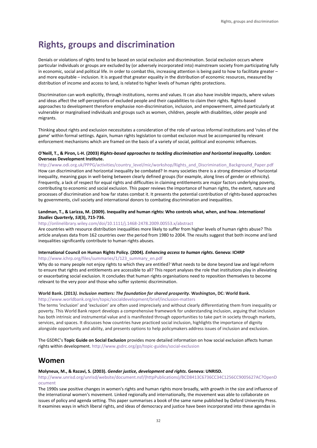## <span id="page-34-0"></span>**Rights, groups and discrimination**

Denials or violations of rights tend to be based on social exclusion and discrimination. Social exclusion occurs where particular individuals or groups are excluded by (or adversely incorporated into) mainstream society from participating fully in economic, social and political life. In order to combat this, increasing attention is being paid to how to facilitate greater – and more equitable – inclusion. It is argued that greater equality in the distribution of economic resources, measured by distribution of income and access to land, is related to higher levels of human rights protections.

Discrimination can work explicitly, through institutions, norms and values. It can also have invisible impacts, where values and ideas affect the self-perceptions of excluded people and their capabilities to claim their rights. Rights-based approaches to development therefore emphasise non-discrimination, inclusion, and empowerment, aimed particularly at vulnerable or marginalised individuals and groups such as women, children, people with disabilities, older people and migrants.

Thinking about rights and exclusion necessitates a consideration of the role of various informal institutions and 'rules of the game' within formal settings. Again, human rights legislation to combat exclusion must be accompanied by relevant enforcement mechanisms which are framed on the basis of a variety of social, political and economic influences.

#### **O'Neill, T., & Piron, L-H. (2003)** *Rights-based approaches to tackling discrimination and horizontal inequality***. London: Overseas Development Institute.**

[http://www.odi.org.uk/PPPG/activities/country\\_level/mic/workshop/Rights\\_and\\_Discrimination\\_Background\\_Paper.pdf](http://www.odi.org.uk/PPPG/activities/country_level/mic/workshop/Rights_and_Discrimination_Background_Paper.pdf) How can discrimination and horizontal inequality be combated? In many societies there is a strong dimension of horizontal inequality, meaning gaps in well-being between clearly defined groups (for example, along lines of gender or ethnicity). Frequently, a lack of respect for equal rights and difficulties in claiming entitlements are major factors underlying poverty, contributing to economic and social exclusion. This paper reviews the importance of human rights, the extent, nature and processes of discrimination and how far states combat it. It presents the potential contribution of rights-based approaches by governments, civil society and international donors to combating discrimination and inequalities.

#### **Landman, T., & Larizza, M. (2009). Inequality and human rights: Who controls what, when, and how.** *International Studies Quarterly***,** *53***(3), 715-736.**

#### <http://onlinelibrary.wiley.com/doi/10.1111/j.1468-2478.2009.00553.x/abstract>

Are countries with resource distribution inequalities more likely to suffer from higher levels of human rights abuse? This article analyses data from 162 countries over the period from 1980 to 2004. The results suggest that both income and land inequalities significantly contribute to human rights abuses.

#### **International Council on Human Rights Policy. (2004).** *Enhancing access to human rights***. Geneva: ICHRP**

[http://www.ichrp.org/files/summaries/1/123\\_summary\\_en.pdf](http://www.ichrp.org/files/summaries/1/123_summary_en.pdf)

Why do so many people not enjoy rights to which they are entitled? What needs to be done beyond law and legal reform to ensure that rights and entitlements are accessible to all? This report analyses the role that institutions play in alleviating or exacerbating social exclusion. It concludes that human rights organisations need to reposition themselves to become relevant to the very poor and those who suffer systemic discrimination.

#### **World Bank. (2013***). Inclusion matters: The foundation for shared prosperity***. Washington, DC: World Bank.**  <http://www.worldbank.org/en/topic/socialdevelopment/brief/inclusion-matters>

The terms 'inclusion' and 'exclusion' are often used imprecisely and without clearly differentiating them from inequality or poverty. This World Bank report develops a comprehensive framework for understanding inclusion, arguing that inclusion has both intrinsic and instrumental value and is manifested through opportunities to take part in society through markets, services, and spaces. It discusses how countries have practiced social inclusion, highlights the importance of dignity alongside opportunity and ability, and presents options to help policymakers address issues of inclusion and exclusion.

The GSDRC's **Topic Guide on Social Exclusion** provides more detailed information on how social exclusion affects human rights within development. <http://www.gsdrc.org/go/topic-guides/social-exclusion>

### **Women**

#### **Molyneux, M., & Razavi, S. (2003).** *Gender justice, development and rights***. Geneva: UNRISD.**

[http://www.unrisd.org/unrisd/website/document.nsf/\(httpPublications\)/BCD8413C6736CC34C1256CC9005627AC?OpenD](http://www.unrisd.org/unrisd/website/document.nsf/(httpPublications)/BCD8413C6736CC34C1256CC9005627AC?OpenDocument) [ocument](http://www.unrisd.org/unrisd/website/document.nsf/(httpPublications)/BCD8413C6736CC34C1256CC9005627AC?OpenDocument)

The 1990s saw positive changes in women's rights and human rights more broadly, with growth in the size and influence of the international women's movement. Linked regionally and internationally, the movement was able to collaborate on issues of policy and agenda setting. This paper summarises a book of the same name published by Oxford University Press. It examines ways in which liberal rights, and ideas of democracy and justice have been incorporated into these agendas in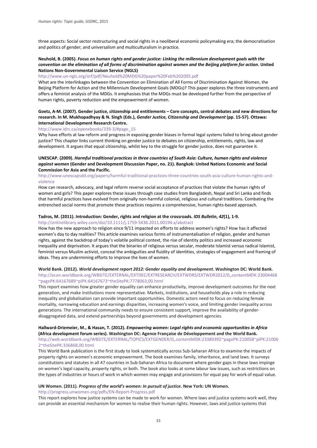three aspects: Social sector restructuring and social rights in a neoliberal economic policymaking era; the democratisation and politics of gender; and universalism and multiculturalism in practice.

#### **Neuhold, B. (2005).** *Focus on human rights and gender justice: Linking the millennium development goals with the convention on the elimination of all forms of discrimination against women and the Beijing platform for action***. United Nations Non-Governmental Liaison Service (NGLS)**

#### <http://www.un-ngls.org/orf/pdf/Neuhold%20MDG%20paper%20Feb%202005.pdf>

What are the interlinkages between the Convention on Elimination of All Forms of Discrimination Against Women, the Beijing Platform for Action and the Millennium Development Goals (MDGs)? This paper explores the three instruments and offers a feminist analysis of the MDGs. It emphasises that the MDGs must be developed further from the perspective of human rights, poverty reduction and the empowerment of women.

#### **Goetz, A-M. (2007). Gender justice, citizenship and entitlements – Core concepts, central debates and new directions for research. In M. Mukhopadhyay & N. Singh (Eds.),** *Gender Justice, Citizenship and Development* **(pp. 15-57). Ottawa: International Development Research Centre.**

#### [http://www.idrc.ca/openebooks/339-3/#page\\_15](http://www.idrc.ca/openebooks/339-3/%23page_15)

Why have efforts at law reform and progress in exposing gender biases in formal legal systems failed to bring about gender justice? This chapter links current thinking on gender justice to debates on citizenship, entitlements, rights, law and development. It argues that equal citizenship, whilst key to the struggle for gender justice, does not guarantee it.

#### **UNESCAP. (2009).** *Harmful traditional practices in three countries of South Asia: Culture, human rights and violence against women* **(Gender and Development Discussion Paper, no. 21). Bangkok: United Nations Economic and Social Commission for Asia and the Pacific.**

#### [http://www.unescapsdd.org/papers/harmful-traditional-practices-three-countries-south-asia-culture-human-rights-and](http://www.unescapsdd.org/papers/harmful-traditional-practices-three-countries-south-asia-culture-human-rights-and-violence)[violence](http://www.unescapsdd.org/papers/harmful-traditional-practices-three-countries-south-asia-culture-human-rights-and-violence)

How can research, advocacy, and legal reform reverse social acceptance of practices that violate the human rights of women and girls? This paper explores these issues through case studies from Bangladesh, Nepal and Sri Lanka and finds that harmful practices have evolved from originally non-harmful colonial, religious and cultural traditions. Combating the entrenched social norms that promote these practices requires a comprehensive, human rights-based approach.

#### **Tadros, M. (2011). Introduction: Gender, rights and religion at the crossroads.** *IDS Bulletin***,** *42***(1), 1-9.**

#### <http://onlinelibrary.wiley.com/doi/10.1111/j.1759-5436.2011.00194.x/abstract>

How has the new approach to religion since 9/11 impacted on efforts to address women's rights? How has it affected women's day to day realities? This article examines various forms of instrumentalisation of religion, gender and human rights, against the backdrop of today's volatile political context, the rise of identity politics and increased economic inequality and deprivation. It argues that the binaries of religious versus secular, moderate Islamist versus radical Islamist, feminist versus Muslim activist, conceal the ambiguities and fluidity of identities, strategies of engagement and framing of ideas. They are undermining efforts to improve the lives of women.

#### **World Bank. (2012).** *World development report 2012: Gender equality and development***. Washington DC: World Bank.**  [http://econ.worldbank.org/WBSITE/EXTERNAL/EXTDEC/EXTRESEARCH/EXTWDRS/EXTWDR2012/0,,contentMDK:23004468](http://econ.worldbank.org/WBSITE/EXTERNAL/EXTDEC/EXTRESEARCH/EXTWDRS/EXTWDR2012/0,,contentMDK:23004468%7EpagePK:64167689%7EpiPK:64167673%7EtheSitePK:7778063,00.html) [~pagePK:64167689~piPK:64167673~theSitePK:7778063,00.html](http://econ.worldbank.org/WBSITE/EXTERNAL/EXTDEC/EXTRESEARCH/EXTWDRS/EXTWDR2012/0,,contentMDK:23004468%7EpagePK:64167689%7EpiPK:64167673%7EtheSitePK:7778063,00.html)

This report examines how greater gender equality can enhance productivity, improve development outcomes for the next generation, and make institutions more representative. Markets, institutions, and households play a role in reducing inequality and globalisation can provide important opportunities. Domestic actors need to focus on reducing female mortality, narrowing education and earnings disparities, increasing women's voice, and limiting gender inequality across generations. The international community needs to ensure consistent support, improve the availability of genderdisaggregated data, and extend partnerships beyond governments and development agencies.

### **Hallward-Driemeier, M., & Hasan, T. (2012).** *Empowering women: Legal rights and economic opportunities in Africa*

**(Africa development forum series). Washington DC: Agence Française de Développement and the World Bank.** [http://web.worldbank.org/WBSITE/EXTERNAL/TOPICS/EXTGENDER/0,,contentMDK:23389392~pagePK:210058~piPK:21006](http://web.worldbank.org/WBSITE/EXTERNAL/TOPICS/EXTGENDER/0,,contentMDK:23389392%7EpagePK:210058%7EpiPK:210062%7EtheSitePK:336868,00.html) [2~theSitePK:336868,00.html](http://web.worldbank.org/WBSITE/EXTERNAL/TOPICS/EXTGENDER/0,,contentMDK:23389392%7EpagePK:210058%7EpiPK:210062%7EtheSitePK:336868,00.html)

This World Bank publication is the first study to look systematically across Sub-Saharan Africa to examine the impacts of property rights on women's economic empowerment. The book examines family, inheritance, and land laws. It surveys constitutions and statutes in all 47 countries in Sub-Saharan Africa to document where gender gaps in these laws impinge on women's legal capacity, property rights, or both. The book also looks at some labour law issues, such as restrictions on the types of industries or hours of work in which women may engage and provisions for equal pay for work of equal value.

#### **UN Women. (2011).** *Progress of the world's women: In pursuit of justice***. New York: UN Women.**

#### <http://progress.unwomen.org/pdfs/EN-Report-Progress.pdf>

This report explores how justice systems can be made to work for women. Where laws and justice systems work well, they can provide an essential mechanism for women to realise their human rights. However, laws and justice systems that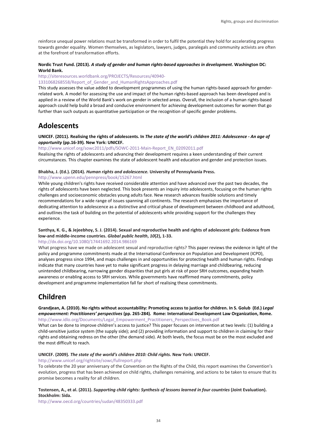reinforce unequal power relations must be transformed in order to fulfil the potential they hold for accelerating progress towards gender equality. Women themselves, as legislators, lawyers, judges, paralegals and community activists are often at the forefront of transformation efforts.

#### **Nordic Trust Fund. (2013).** *A study of gender and human rights-based approaches in development***. Washington DC: World Bank.**

### [http://siteresources.worldbank.org/PROJECTS/Resources/40940-](http://siteresources.worldbank.org/PROJECTS/Resources/40940-1331068268558/Report_of_Gender_and_HumanRightsApproaches.pdf)

[1331068268558/Report\\_of\\_Gender\\_and\\_HumanRightsApproaches.pdf](http://siteresources.worldbank.org/PROJECTS/Resources/40940-1331068268558/Report_of_Gender_and_HumanRightsApproaches.pdf)

This study assesses the value added to development programmes of using the human rights-based approach for genderrelated work. A model for assessing the use and impact of the human rights-based approach has been developed and is applied in a review of the World Bank's work on gender in selected areas. Overall, the inclusion of a human rights-based approach could help build a broad and conducive environment for achieving development outcomes for women that go further than such outputs as quantitative participation or the recognition of specific gender problems.

## **Adolescents**

#### **UNICEF. (2011). Realising the rights of adolescents. In** *The state of the world's children 2011: Adolescence - An age of opportunity* **(pp.16-39)***.* **New York: UNICEF.**

[http://www.unicef.org/sowc2011/pdfs/SOWC-2011-Main-Report\\_EN\\_02092011.pdf](http://www.unicef.org/sowc2011/pdfs/SOWC-2011-Main-Report_EN_02092011.pdf) Realising the rights of adolescents and advancing their development requires a keen understanding of their current circumstances. This chapter examines the state of adolescent health and education and gender and protection issues.

#### **Bhabha, J. (Ed.). (2014).** *Human rights and adolescence.* **University of Pennsylvania Press.**

#### <http://www.upenn.edu/pennpress/book/15267.html>

While young children's rights have received considerable attention and have advanced over the past two decades, the rights of adolescents have been neglected. This book presents an inquiry into adolescents, focusing on the human rights challenges and socioeconomic obstacles young adults face. New research advances feasible solutions and timely recommendations for a wide range of issues spanning all continents. The research emphasises the importance of dedicating attention to adolescence as a distinctive and critical phase of development between childhood and adulthood, and outlines the task of building on the potential of adolescents while providing support for the challenges they experience.

#### **Santhya, K. G., & Jejeebhoy, S. J. (2014). Sexual and reproductive health and rights of adolescent girls: Evidence from low-and middle-income countries.** *Global public health***,** *10***(2), 1-33.**

#### <http://dx.doi.org/10.1080/17441692.2014.986169>

What progress have we made on adolescent sexual and reproductive rights? This paper reviews the evidence in light of the policy and programme commitments made at the International Conference on Population and Development (ICPD), analyses progress since 1994, and maps challenges in and opportunities for protecting health and human rights. Findings indicate that many countries have yet to make significant progress in delaying marriage and childbearing, reducing unintended childbearing, narrowing gender disparities that put girls at risk of poor SRH outcomes, expanding health awareness or enabling access to SRH services. While governments have reaffirmed many commitments, policy development and programme implementation fall far short of realising these commitments.

## **Children**

#### **Grandjean, A. (2010). No rights without accountability: Promoting access to justice for children. In S. Golub (Ed.)** *Legal empowerment: Practitioners' perspectives* **(pp. 265-284)***.* **Rome: International Development Law Organization, Rome.** [http://www.idlo.org/Documents/Legal\\_Empowerment\\_Practitioners\\_Perspectives\\_Book.pdf](http://www.idlo.org/Documents/Legal_Empowerment_Practitioners_Perspectives_Book.pdf)

What can be done to improve children's access to justice? This paper focuses on intervention at two levels: (1) building a child-sensitive justice system (the supply side); and (2) providing information and support to children in claiming for their rights and obtaining redress on the other (the demand side). At both levels, the focus must be on the most excluded and the most difficult to reach.

#### **UNICEF. (2009).** *The state of the world's children 2010: Child rights.* **New York: UNICEF.**

<http://www.unicef.org/rightsite/sowc/fullreport.php>

To celebrate the 20 year anniversary of the Convention on the Rights of the Child, this report examines the Convention's evolution, progress that has been achieved on child rights, challenges remaining, and actions to be taken to ensure that its promise becomes a reality for all children.

#### **Tostensen, A., et al. (2011).** *Supporting child rights: Synthesis of lessons learned in four countries* **(Joint Evaluation). Stockholm: Sida.**

<http://www.oecd.org/countries/sudan/48350333.pdf>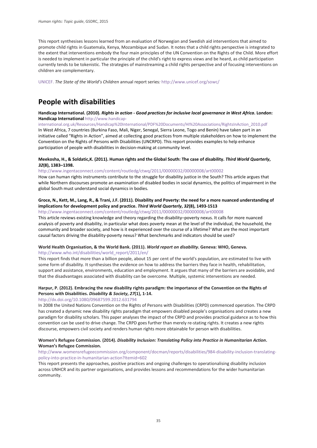This report synthesises lessons learned from an evaluation of Norwegian and Swedish aid interventions that aimed to promote child rights in Guatemala, Kenya, Mozambique and Sudan. It notes that a child rights perspective is integrated to the extent that interventions embody the four main principles of the UN Convention on the Rights of the Child. More effort is needed to implement in particular the principle of the child's right to express views and be heard, as child participation currently tends to be tokenistic. The strategies of mainstreaming a child rights perspective and of focusing interventions on children are complementary.

UNICEF. *The State of the World's Children* annual report series*:* <http://www.unicef.org/sowc/>

## **People with disabilities**

#### **Handicap International. (2010).** *Rights in action - Good practices for inclusive local governance in West Africa***. London: Handicap International** [http://www.handicap-](http://www.handicap-international.org.uk/Resources/Handicap%20International/PDF%20Documents/HI%20Associations/RightsInAction_2010.pdf)

[international.org.uk/Resources/Handicap%20International/PDF%20Documents/HI%20Associations/RightsInAction\\_2010.pdf](http://www.handicap-international.org.uk/Resources/Handicap%20International/PDF%20Documents/HI%20Associations/RightsInAction_2010.pdf) In West Africa, 7 countries (Burkina Faso, Mali, Niger, Senegal, Sierra Leone, Togo and Benin) have taken part in an initiative called "Rights in Action", aimed at collecting good practices from multiple stakeholders on how to implement the Convention on the Rights of Persons with Disabilities (UNCRPD). This report provides examples to help enhance participation of people with disabilities in decision-making at community level.

#### **Meekosha, H., & Soldatic,K. (2011). Human rights and the Global South: The case of disability.** *Third World Quarterly***,**  *32***(8), 1383–1398.**

<http://www.ingentaconnect.com/content/routledg/ctwq/2011/00000032/00000008/art00002>

How can human rights instruments contribute to the struggle for disability justice in the South? This article argues that while Northern discourses promote an examination of disabled bodies in social dynamics, the politics of impairment in the global South must understand social dynamics in bodies.

#### **Groce, N., Kett, M., Lang, R., & Trani, J.F. (2011). Disability and Poverty: the need for a more nuanced understanding of implications for development policy and practice.** *Third World Quarterly***,** *32***(8), 1493-1513**

<http://www.ingentaconnect.com/content/routledg/ctwq/2011/00000032/00000008/art00008>

This article reviews existing knowledge and theory regarding the disability–poverty nexus. It calls for more nuanced analysis of poverty and disability, in particular what does poverty mean at the level of the individual, the household, the community and broader society, and how is it experienced over the course of a lifetime? What are the most important causal factors driving the disability-poverty nexus? What benchmarks and indicators should be used?

#### **World Health Organisation, & the World Bank. (2011).** *World report on disability***. Geneva: WHO, Geneva.**  [http://www.who.int/disabilities/world\\_report/2011/en/](http://www.who.int/disabilities/world_report/2011/en/)

This report finds that more than a billion people, about 15 per cent of the world's population, are estimated to live with some form of disability. It synthesises the evidence on how to address the barriers they face in health, rehabilitation, support and assistance, environments, education and employment. It argues that many of the barriers are avoidable, and that the disadvantages associated with disability can be overcome. Multiple, systemic interventions are needed.

#### **Harpur, P. (2012). Embracing the new disability rights paradigm: the importance of the Convention on the Rights of Persons with Disabilities.** *Disability & Society***,** *27***(1), 1-14.**

#### <http://dx.doi.org/10.1080/09687599.2012.631794>

In 2008 the United Nations Convention on the Rights of Persons with Disabilities (CRPD) commenced operation. The CRPD has created a dynamic new disability rights paradigm that empowers disabled people's organisations and creates a new paradigm for disability scholars. This paper analyses the impact of the CRPD and provides practical guidance as to how this convention can be used to drive change. The CRPD goes further than merely re-stating rights. It creates a new rights discourse, empowers civil society and renders human rights more obtainable for person with disabilities.

#### **Women's Refugee Commission. (2014).** *Disability Inclusion: Translating Policy into Practice in Humanitarian Action***. Woman's Refugee Commission.**

#### [http://www.womensrefugeecommission.org/component/docman/reports/disabilities/984-disability-inclusion-translating](http://www.womensrefugeecommission.org/component/docman/reports/disabilities/984-disability-inclusion-translating-policy-into-practice-in-humanitarian-action?Itemid=602)[policy-into-practice-in-humanitarian-action?Itemid=602](http://www.womensrefugeecommission.org/component/docman/reports/disabilities/984-disability-inclusion-translating-policy-into-practice-in-humanitarian-action?Itemid=602)

This report presents the approaches, positive practices and ongoing challenges to operationalising disability inclusion across UNHCR and its partner organisations, and provides lessons and recommendations for the wider humanitarian community.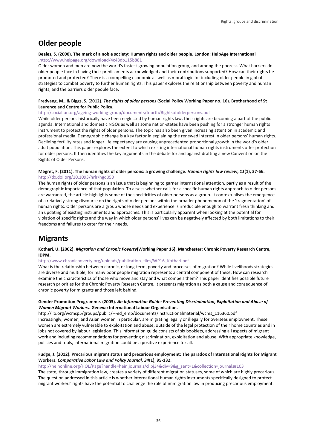## **Older people**

#### **Beales, S. (2000). The mark of a noble society: Human rights and older people. London: HelpAge International .**<http://www.helpage.org/download/4c48db115b881>

Older women and men are now the world's fastest-growing population group, and among the poorest. What barriers do older people face in having their predicaments acknowledged and their contributions supported? How can their rights be promoted and protected? There is a compelling economic as well as moral logic for including older people in global strategies to combat poverty to further human rights. This paper explores the relationship between poverty and human rights, and the barriers older people face.

#### **Fredvang, M., & Biggs, S. (2012).** *The rights of older persons* **(Social Policy Working Paper no. 16). Brotherhood of St Laurence and Centre for Public Policy.**

<http://social.un.org/ageing-working-group/documents/fourth/Rightsofolderpersons.pdf>

While older persons historically have been neglected by human rights law, their rights are becoming a part of the public agenda. International and domestic NGOs as well as some nation-states have been pushing for a stronger human rights instrument to protect the rights of older persons. The topic has also been given increasing attention in academic and professional media. Demographic change is a key factor in explaining the renewed interest in older persons' human rights. Declining fertility rates and longer life expectancy are causing unprecedented proportional growth in the world's older adult population. This paper explores the extent to which existing international human rights instruments offer protection for older persons. It then identifies the key arguments in the debate for and against drafting a new Convention on the Rights of Older Persons.

#### **Mégret, F. (2011). The human rights of older persons: a growing challenge.** *Human rights law review***,** *11***(1), 37-66.**  <http://dx.doi.org/10.1093/hrlr/ngq050>

The human rights of older persons is an issue that is beginning to garner international attention, partly as a result of the demographic importance of that population. To assess whether calls for a specific human rights approach to older persons are warranted, the article highlights some of the specificities of older persons as a group. It contextualises the emergence of a relatively strong discourse on the rights of older persons within the broader phenomenon of the 'fragmentation' of human rights. Older persons are a group whose needs and experience is irreducible enough to warrant fresh thinking and an updating of existing instruments and approaches. This is particularly apparent when looking at the potential for violation of specific rights and the way in which older persons' lives can be negatively affected by both limitations to their freedoms and failures to cater for their needs.

## **Migrants**

#### **Kothari, U. (2002).** *Migration and Chronic Poverty***(Working Paper 16). Manchester: Chronic Poverty Research Centre, IDPM.**

[http://www.chronicpoverty.org/uploads/publication\\_files/WP16\\_Kothari.pdf](http://www.chronicpoverty.org/uploads/publication_files/WP16_Kothari.pdf)

What is the relationship between chronic, or long-term, poverty and processes of migration? While livelihoods strategies are diverse and multiple, for many poor people migration represents a central component of these. How can research examine the characteristics of those who move and stay and what compels them? This paper identifies possible future research priorities for the Chronic Poverty Research Centre. It presents migration as both a cause and consequence of chronic poverty for migrants and those left behind.

#### **Gender Promotion Programme. (2003).** *An Information Guide: Preventing Discrimination, Exploitation and Abuse of Women Migrant Workers***. Geneva: International Labour Organisation.**

http://ilo.org/wcmsp5/groups/public/---ed\_emp/documents/instructionalmaterial/wcms\_116360.pdf Increasingly, women, and Asian women in particular, are migrating legally or illegally for overseas employment. These women are extremely vulnerable to exploitation and abuse, outside of the legal protection of their home countries and in jobs not covered by labour legislation. This information guide consists of six booklets, addressing all aspects of migrant work and including recommendations for preventing discrimination, exploitation and abuse. With appropriate knowledge, policies and tools, international migration could be a positive experience for all.

#### **Fudge, J. (2012). Precarious migrant status and precarious employment: The paradox of International Rights for Migrant Workers.** *Comparative Labor Law and Policy Journal, 34***(1), 95-132.**

[http://heinonline.org/HOL/Page?handle=hein.journals/cllpj34&div=9&g\\_sent=1&collection=journals#103](http://heinonline.org/HOL/Page?handle=hein.journals/cllpj34&div=9&g_sent=1&collection=journals%23103)

The state, through immigration law, creates a variety of different migration statuses, some of which are highly precarious. The question addressed in this article is whether international human rights instruments specifically designed to protect migrant workers' rights have the potential to challenge the role of immigration law in producing precarious employment.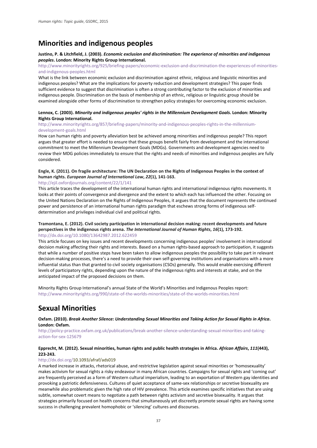## **Minorities and indigenous peoples**

#### **Justino, P. & Litchfield, J. (2003).** *Economic exclusion and discrimination: The experience of minorities and indigenous peoples***. London: Minority Rights Group International.**

[http://www.minorityrights.org/925/briefing-papers/economic-exclusion-and-discrimination-the-experiences-of-minorities](http://www.minorityrights.org/925/briefing-papers/economic-exclusion-and-discrimination-the-experiences-of-minorities-and-indigenous-peoples.html)[and-indigenous-peoples.html](http://www.minorityrights.org/925/briefing-papers/economic-exclusion-and-discrimination-the-experiences-of-minorities-and-indigenous-peoples.html)

What is the link between economic exclusion and discrimination against ethnic, religious and linguistic minorities and indigenous peoples? What are the implications for poverty reduction and development strategies? This paper finds sufficient evidence to suggest that discrimination is often a strong contributing factor to the exclusion of minorities and indigenous people. Discrimination on the basis of membership of an ethnic, religious or linguistic group should be examined alongside other forms of discrimination to strengthen policy strategies for overcoming economic exclusion.

#### **Lennox, C. (2003).** *Minority and indigenous peoples' rights in the Millennium Development Goals***. London: Minority Rights Group International.**

#### [http://www.minorityrights.org/857/briefing-papers/minority-and-indigenous-peoples-rights-in-the-millennium](http://www.minorityrights.org/857/briefing-papers/minority-and-indigenous-peoples-rights-in-the-millennium-development-goals.html)[development-goals.html](http://www.minorityrights.org/857/briefing-papers/minority-and-indigenous-peoples-rights-in-the-millennium-development-goals.html)

How can human rights and poverty alleviation best be achieved among minorities and indigenous people? This report argues that greater effort is needed to ensure that these groups benefit fairly from development and the international commitment to meet the Millennium Development Goals (MDGs). Governments and development agencies need to review their MDG policies immediately to ensure that the rights and needs of minorities and indigenous peoples are fully considered.

#### **Engle, K. (2011). On fragile architecture: The UN Declaration on the Rights of Indigenous Peoples in the context of human rights.** *European Journal of International Law***,** *22***(1), 141-163.**

#### <http://ejil.oxfordjournals.org/content/22/1/141>

This article traces the development of the international human rights and international indigenous rights movements. It looks at their points of convergence and divergence and the extent to which each has influenced the other. Focusing on the United Nations Declaration on the Rights of Indigenous Peoples, it argues that the document represents the continued power and persistence of an international human rights paradigm that eschews strong forms of indigenous selfdetermination and privileges individual civil and political rights.

#### **Tramontana, E. (2012). Civil society participation in international decision making: recent developments and future perspectives in the indigenous rights arena.** *The International Journal of Human Rights***,** *16***(1), 173-192.**  <http://dx.doi.org/10.1080/13642987.2012.622459>

This article focuses on key issues and recent developments concerning indigenous peoples' involvement in international decision making affecting their rights and interests. Based on a human rights-based approach to participation, it suggests that while a number of positive steps have been taken to allow indigenous peoples the possibility to take part in relevant decision-making processes, there's a need to provide their own self-governing institutions and organisations with a more influential status than that granted to civil society organisations (CSOs) generally. This would enable exercising different levels of participatory rights, depending upon the nature of the indigenous rights and interests at stake, and on the anticipated impact of the proposed decisions on them.

Minority Rights Group International's annual State of the World's Minorities and Indigenous Peoples report: <http://www.minorityrights.org/990/state-of-the-worlds-minorities/state-of-the-worlds-minorities.html>

## **Sexual Minorities**

#### **Oxfam. (2010).** *Break Another Silence: Understanding Sexual Minorities and Taking Action for Sexual Rights in Africa***. London: Oxfam.**

[http://policy-practice.oxfam.org.uk/publications/break-another-silence-understanding-sexual-minorities-and-taking](http://policy-practice.oxfam.org.uk/publications/break-another-silence-understanding-sexual-minorities-and-taking-action-for-sex-125679)[action-for-sex-125679](http://policy-practice.oxfam.org.uk/publications/break-another-silence-understanding-sexual-minorities-and-taking-action-for-sex-125679)

#### **Epprecht, M. (2012). Sexual minorities, human rights and public health strategies in Africa.** *African Affairs***,** *111***(443), 223-243.**

#### http://dx.doi.org/10.1093/afraf/ads019

A marked increase in attacks, rhetorical abuse, and restrictive legislation against sexual minorities or 'homosexuality' makes activism for sexual rights a risky endeavour in many African countries. Campaigns for sexual rights and 'coming out' are frequently perceived as a form of Western cultural imperialism, leading to an exportation of Western gay identities and provoking a patriotic defensiveness. Cultures of quiet acceptance of same-sex relationships or secretive bisexuality are meanwhile also problematic given the high rate of HIV prevalence. This article examines specific initiatives that are using subtle, somewhat covert means to negotiate a path between rights activism and secretive bisexuality. It argues that strategies primarily focused on health concerns that simultaneously yet discreetly promote sexual rights are having some success in challenging prevalent homophobic or 'silencing' cultures and discourses.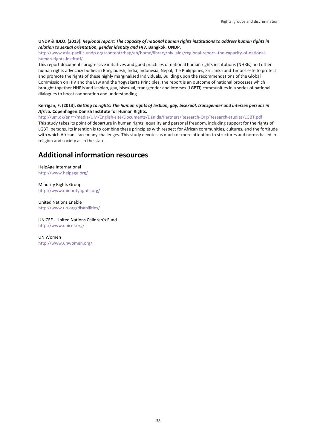#### **UNDP & IDLO. (2013).** *Regional report: The capacity of national human rights institutions to address human rights in relation to sexual orientation, gender identity and HIV.* **Bangkok: UNDP.**

#### [http://www.asia-pacific.undp.org/content/rbap/en/home/library/hiv\\_aids/regional-report--the-capacity-of-national](http://www.asia-pacific.undp.org/content/rbap/en/home/library/hiv_aids/regional-report--the-capacity-of-national-human-rights-instituti/)[human-rights-instituti/](http://www.asia-pacific.undp.org/content/rbap/en/home/library/hiv_aids/regional-report--the-capacity-of-national-human-rights-instituti/)

This report documents progressive initiatives and good practices of national human rights institutions (NHRIs) and other human rights advocacy bodies in Bangladesh, India, Indonesia, Nepal, the Philippines, Sri Lanka and Timor-Leste to protect and promote the rights of these highly marginalised individuals. Building upon the recommendations of the Global Commission on HIV and the Law and the Yogyakarta Principles, the report is an outcome of national processes which brought together NHRIs and lesbian, gay, bisexual, transgender and intersex (LGBTI) communities in a series of national dialogues to boost cooperation and understanding.

#### **Kerrigan, F. (2013).** *Getting to rights: The human rights of lesbian, gay, bisexual, transgender and intersex persons in Africa.* **Copenhagen:Danish Institute for Human Rights.**

[http://um.dk/en/~/media/UM/English-site/Documents/Danida/Partners/Research-Org/Research-studies/LGBT.pdf](http://um.dk/en/%7E/media/UM/English-site/Documents/Danida/Partners/Research-Org/Research-studies/LGBT.pdf) This study takes its point of departure in human rights, equality and personal freedom, including support for the rights of LGBTI persons. Its intention is to combine these principles with respect for African communities, cultures, and the fortitude with which Africans face many challenges. This study devotes as much or more attention to structures and norms based in religion and society as in the state.

## **Additional information resources**

HelpAge International <http://www.helpage.org/>

Minority Rights Group <http://www.minorityrights.org/>

United Nations Enable <http://www.un.org/disabilities/>

UNICEF - United Nations Children's Fund <http://www.unicef.org/>

UN Women <http://www.unwomen.org/>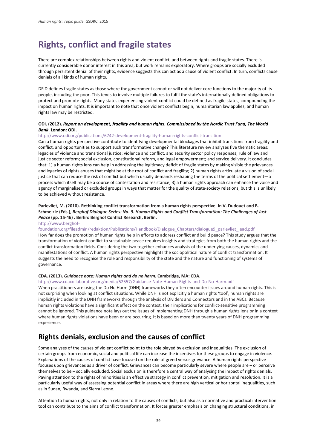## <span id="page-41-0"></span>**Rights, conflict and fragile states**

There are complex relationships between rights and violent conflict, and between rights and fragile states. There is currently considerable donor interest in this area, but work remains exploratory. Where groups are socially excluded through persistent denial of their rights, evidence suggests this can act as a cause of violent conflict. In turn, conflicts cause denials of all kinds of human rights.

DFID defines fragile states as those where the government cannot or will not deliver core functions to the majority of its people, including the poor. This tends to involve multiple failures to fulfil the state's internationally defined obligations to protect and promote rights. Many states experiencing violent conflict could be defined as fragile states, compounding the impact on human rights. It is important to note that once violent conflicts begin, humanitarian law applies, and human rights law may be restricted.

#### **ODI. (2012).** *Report on development, fragility and human rights. Commissioned by the Nordic Trust Fund, The World Bank***. London: ODI.**

#### <http://www.odi.org/publications/6742-development-fragility-human-rights-conflict-transition>

Can a human rights perspective contribute to identifying developmental blockages that inhibit transitions from fragility and conflict, and opportunities to support such transformative change? This literature review analyses five thematic areas: legacies of violence and transitional justice; violence and conflict, and security sector policy responses; rule of law and justice sector reform; social exclusion, constitutional reform, and legal empowerment; and service delivery. It concludes that: 1) a human rights lens can help in addressing the legitimacy deficit of fragile states by making visible the grievances and legacies of rights abuses that might be at the root of conflict and fragility; 2) human rights articulate a vision of social justice that can reduce the risk of conflict but which usually demands reshaping the terms of the political settlement—a process which itself may be a source of contestation and resistance; 3) a human rights approach can enhance the voice and agency of marginalised or excluded groups in ways that matter for the quality of state-society relations, but this is unlikely to be achieved without resistance.

#### **Parlevliet, M. (2010). Rethinking conflict transformation from a human rights perspective. In V. Dudouet and B. Schmelzle (Eds.),** *Berghof Dialogue Series: No. 9. Human Rights and Conflict Transformation: The Challenges of Just Peace* **(pp. 15-46) . Berlin: Berghof Conflict Research, Berlin.**

[http://www.berghof-](http://www.berghof-foundation.org/fileadmin/redaktion/Publications/Handbook/Dialogue_Chapters/dialogue9_parlevliet_lead.pdf)

#### [foundation.org/fileadmin/redaktion/Publications/Handbook/Dialogue\\_Chapters/dialogue9\\_parlevliet\\_lead.pdf](http://www.berghof-foundation.org/fileadmin/redaktion/Publications/Handbook/Dialogue_Chapters/dialogue9_parlevliet_lead.pdf)

How far does the promotion of human rights help in efforts to address conflict and build peace? This study argues that the transformation of violent conflict to sustainable peace requires insights and strategies from both the human rights and the conflict transformation fields. Considering the two together enhances analysis of the underlying causes, dynamics and manifestations of conflict. A human rights perspective highlights the sociopolitical nature of conflict transformation. It suggests the need to recognise the role and responsibility of the state and the nature and functioning of systems of governance.

#### **CDA. (2013).** *Guidance note: Human rights and do no harm.* **Cambridge, MA: CDA.**

#### <http://www.cdacollaborative.org/media/52557/Guidance-Note-Human-Rights-and-Do-No-Harm.pdf>

When practitioners are using the Do No Harm (DNH) frameworks they often encounter issues around human rights. This is not surprising when looking at conflict situations. While DNH is not explicitly a human rights 'tool', human rights are implicitly included in the DNH frameworks through the analysis of Dividers and Connectors and in the ABCs. Because human rights violations have a significant effect on the context, their implications for conflict-sensitive programming cannot be ignored. This guidance note lays out the issues of implementing DNH through a human rights lens or in a context where human rights violations have been or are occurring. It is based on more than twenty years of DNH programming experience.

## **Rights denials, exclusion and the causes of conflict**

Some analyses of the causes of violent conflict point to the role played by exclusion and inequalities. The exclusion of certain groups from economic, social and political life can increase the incentives for these groups to engage in violence. Explanations of the causes of conflict have focused on the role of greed versus grievance. A human rights perspective focuses upon grievances as a driver of conflict. Grievances can become particularly severe where people are – or perceive themselves to be – socially excluded. Social exclusion is therefore a central way of analysing the impact of rights denials. Paying attention to the rights of minorities is an effective strategy in conflict prevention, mitigation and resolution. It is a particularly useful way of assessing potential conflict in areas where there are high vertical or horizontal inequalities, such as in Sudan, Rwanda, and Sierra Leone.

Attention to human rights, not only in relation to the causes of conflicts, but also as a normative and practical intervention tool can contribute to the aims of conflict transformation. It forces greater emphasis on changing structural conditions, in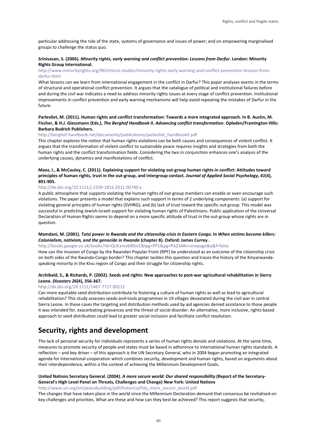particular addressing the role of the state, systems of governance and issues of power; and on empowering marginalised groups to challenge the status quo.

#### **Srinivasan, S. (2006).** *Minority rights, early warning and conflict prevention: Lessons from Darfur***. London: Minority Rights Group International.**

#### [http://www.minorityrights.org/965/micro-studies/minority-rights-early-warning-and-conflict-prevention-lessons-from](http://www.minorityrights.org/965/micro-studies/minority-rights-early-warning-and-conflict-prevention-lessons-from-darfur.html)[darfur.html](http://www.minorityrights.org/965/micro-studies/minority-rights-early-warning-and-conflict-prevention-lessons-from-darfur.html)

What lessons can we learn from international engagement in the conflict in Darfur? This paper analyses events in the terms of structural and operational conflict prevention. It argues that the catalogue of political and institutional failures before and during the civil war indicates a need to address minority rights issues at every stage of conflict prevention. Institutional improvements in conflict prevention and early warning mechanisms will help avoid repeating the mistakes of Darfur in the future.

#### **Parlevliet, M. (2011). Human rights and conflict transformation: Towards a more integrated approach. In B. Austin, M. Fischer, & H.J. Giessmann (Eds.),** *The Berghof Handbook II. Advancing conflict transformation***. Opladen/Framington Hills: Barbara Budrich Publishers.**

#### [http://berghof-handbook.net/documents/publications/parlevliet\\_handbookII.pdf](http://berghof-handbook.net/documents/publications/parlevliet_handbookII.pdf)

This chapter explores the notion that human rights violations can be both causes and consequences of violent conflict. It argues that the transformation of violent conflict to sustainable peace requires insights and strategies from both the human rights and the conflict transformation fields. Considering the two in conjunction enhances one's analysis of the underlying causes, dynamics and manifestations of conflict.

#### **Maoz, I., & McCauley, C. (2011). Explaining support for violating out-group human rights in conflict: Attitudes toward principles of human rights, trust in the out-group, and intergroup contact.** *Journal of Applied Social Psychology***,** *41***(4), 891-905.**

#### <http://dx.doi.org/10.1111/j.1559-1816.2011.00740.x>

A public atmosphere that supports violating the human rights of out-group members can enable or even encourage such violations. The paper presents a model that explains such support in terms of 2 underlying components: (a) support for violating general principles of human rights (SVHRG); and (b) lack of trust toward the specific out-group. This model was successful in predicting Jewish-Israeli support for violating human rights of Palestinians. Public application of the Universal Declaration of Human Rights seems to depend on a more specific attitude of trust in the out-group whose rights are in question.

#### **Mamdani, M. (2001).** *Tutsi power in Rwanda and the citizenship crisis in Eastern Congo***. In** *When victims become killers: Colonialism, nativism, and the genocide in Rwanda* **(chapter 8). Oxford: James Currey .**

#### [http://books.google.co.uk/books?id=QUEamxb89JcC&lpg=PP1&pg=PA234#v=onepage&q&f=false](http://books.google.co.uk/books?id=QUEamxb89JcC&lpg=PP1&pg=PA234%23v=onepage&q&f=false)

How can the invasion of Congo by the Rwandan Popular Front (RPF) be understood as an outcome of the citizenship crisis on both sides of the Rwanda-Congo border? This chapter tackles this question and traces the history of the Kinyarwandaspeaking minority in the Kivu region of Congo and their struggle for citizenship rights.

#### **Archibald, S., & Richards, P. (2002). Seeds and rights: New approaches to post-war agricultural rehabilitation in Sierra Leone.** *Disasters 26***(4), 356-367.**

#### <http://dx.doi.org/10.1111/1467-7717.00212>

Can more equitable seed distribution contribute to fostering a culture of human rights as well as lead to agricultural rehabilitation? This study assesses seeds-and-tools programmes in 19 villages devastated during the civil war in central Sierra Leone. In these cases the targeting and distribution methods used by aid agencies denied assistance to those people it was intended for, exacerbating grievances and the threat of social disorder. An alternative, more inclusive, rights-based approach to seed distribution could lead to greater social inclusion and facilitate conflict resolution.

## **Security, rights and development**

The lack of personal security for individuals represents a series of human rights denials and violations. At the same time, measures to promote security of people and states must be based in adherence to international human rights standards. A reflection – and key driver – of this approach is the UN Secretary General, who in 2004 began promoting an integrated agenda for international cooperation which combines security, development and human rights, based on arguments about their interdependence, within a the context of achieving the Millennium Development Goals.

#### **United Nations Secretary General. (2004).** *A more secure world: Our shared responsibility* **(Report of the Secretary-General's High Level Panel on Threats, Challenges and Change) New York: United Nations**

[http://www.un.org/en/peacebuilding/pdf/historical/hlp\\_more\\_secure\\_world.pdf](http://www.un.org/en/peacebuilding/pdf/historical/hlp_more_secure_world.pdf)

The changes that have taken place in the world since the Millennium Declaration demand that consensus be revitalised on key challenges and priorities. What are these and how can they best be achieved? This report suggests that security,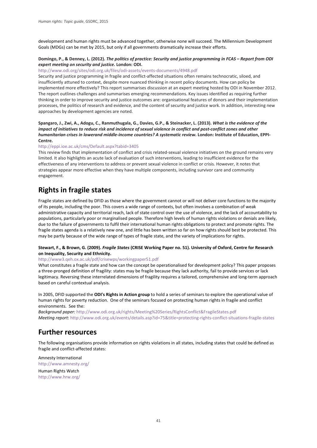development and human rights must be advanced together, otherwise none will succeed. The Millennium Development Goals (MDGs) can be met by 2015, but only if all governments dramatically increase their efforts.

#### **Domingo, P., & Denney, L. (2012).** *The politics of practice: Security and justice programming in FCAS – Report from ODI expert meeting on security and justice.* **London: ODI.**

#### <http://www.odi.org/sites/odi.org.uk/files/odi-assets/events-documents/4948.pdf>

Security and justice programming in fragile and conflict-affected situations often remains technocratic, siloed, and insufficiently attuned to context, despite more nuanced thinking in recent policy documents. How can policy be implemented more effectively? This report summarises discussion at an expert meeting hosted by ODI in November 2012. The report outlines challenges and summarises emerging recommendations. Key issues identified as requiring further thinking in order to improve security and justice outcomes are: organisational features of donors and their implementation processes, the politics of research and evidence, and the content of security and justice work. In addition, interesting new approaches by development agencies are noted.

**Spangaro, J., Zwi, A., Adogu, C., Ranmuthugala, G., Davies, G.P., & Steinacker, L. (2013).** *What is the evidence of the impact of initiatives to reduce risk and incidence of sexual violence in conflict and post-conflict zones and other humanitarian crises in lowerand middle-income countries? A systematic review.* **London: Institute of Education, EPPI-Centre.** 

#### <http://eppi.ioe.ac.uk/cms/Default.aspx?tabid=3405>

This review finds that implementation of conflict and crisis related-sexual violence initiatives on the ground remains very limited. It also highlights an acute lack of evaluation of such interventions, leading to insufficient evidence for the effectiveness of any interventions to address or prevent sexual violence in conflict or crisis. However, it notes that strategies appear more effective when they have multiple components, including survivor care and community engagement.

## **Rights in fragile states**

Fragile states are defined by DFID as those where the government cannot or will not deliver core functions to the majority of its people, including the poor. This covers a wide range of contexts, but often involves a combination of weak administrative capacity and territorial reach, lack of state control over the use of violence, and the lack of accountability to populations, particularly poor or marginalised people. Therefore high levels of human rights violations or denials are likely, due to the failure of governments to fulfil their international human rights obligations to protect and promote rights. The fragile states agenda is a relatively new one, and little has been written so far on how rights should best be protected. This may be partly because of the wide range of types of fragile state, and the variety of implications for rights.

#### **Stewart, F., & Brown, G. (2009).** *Fragile States* **(CRISE Working Paper no. 51). University of Oxford, Centre for Research on Inequality, Security and Ethnicity.**

#### <http://www3.qeh.ox.ac.uk/pdf/crisewps/workingpaper51.pdf>

What constitutes a fragile state and how can the concept be operationalised for development policy? This paper proposes a three-pronged definition of fragility: states may be fragile because they lack authority, fail to provide services or lack legitimacy. Reversing these interrelated dimensions of fragility requires a tailored, comprehensive and long-term approach based on careful contextual analysis.

In 2005, DFID supported the **ODI's Rights in Action group** to hold a series of seminars to explore the operational value of human rights for poverty reduction. One of the seminars focused on protecting human rights in fragile and conflict environments. See the:

*Background paper:* <http://www.odi.org.uk/rights/Meeting%20Series/RightsConflict&FragileStates.pdf> *Meeting report*:<http://www.odi.org.uk/events/details.asp?id=75&title=protecting-rights-conflict-situations-fragile-states>

## **Further resources**

The following organisations provide information on rights violations in all states, including states that could be defined as fragile and conflict-affected states:

Amnesty International <http://www.amnesty.org/>

Human Rights Watch <http://www.hrw.org/>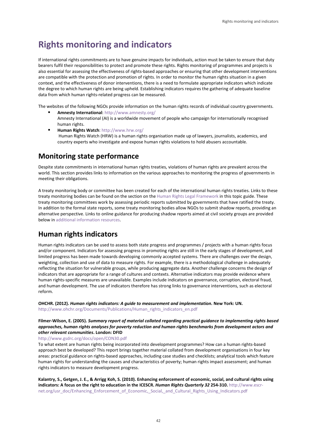## <span id="page-44-0"></span>**Rights monitoring and indicators**

If international rights commitments are to have genuine impacts for individuals, action must be taken to ensure that duty bearers fulfil their responsibilities to protect and promote these rights. Rights monitoring of programmes and projects is also essential for assessing the effectiveness of rights-based approaches or ensuring that other development interventions are compatible with the protection and promotion of rights. In order to monitor the human rights situation in a given context, and the effectiveness of donor interventions, there is a need to formulate appropriate indicators which indicate the degree to which human rights are being upheld. Establishing indicators requires the gathering of adequate baseline data from which human rights-related progress can be measured.

The websites of the following NGOs provide information on the human rights records of individual country governments.

- **Amnesty International**[: http://www.amnesty.org/](http://www.amnesty.org/) Amnesty International (AI) is a worldwide movement of people who campaign for internationally recognised human rights.
- **Human Rights Watch**:<http://www.hrw.org/> Human Rights Watch (HRW) is a human rights organisation made up of lawyers, journalists, academics, and country experts who investigate and expose human rights violations to hold abusers accountable.

## **Monitoring state performance**

Despite state commitments in international human rights treaties, violations of human rights are prevalent across the world. This section provides links to information on the various approaches to monitoring the progress of governments in meeting their obligations.

A treaty monitoring body or committee has been created for each of the international human rights treaties. Links to these treaty monitoring bodies can be found on the section on the [Human Rights Legal Framework](#page-11-0) in this topic guide. These treaty monitoring committees work by assessing periodic reports submitted by governments that have ratified the treaty. In addition to the formal state reports, some treaty monitoring bodies allow NGOs to submit shadow reports, providing an alternative perspective. Links to online guidance for producing shadow reports aimed at civil society groups are provided below i[n additional information resources.](#page-47-0)

## **Human rights indicators**

Human rights indicators can be used to assess both state progress and programmes / projects with a human rights focus and/or component. Indicators for assessing progress in promoting rights are still in the early stages of development, and limited progress has been made towards developing commonly accepted systems. There are challenges over the design, weighting, collection and use of data to measure rights. For example, there is a methodological challenge in adequately reflecting the situation for vulnerable groups, while producing aggregate data. Another challenge concerns the design of indicators that are appropriate for a range of cultures and contexts. Alternative indicators may provide evidence where human rights-specific measures are unavailable. Examples include indicators on governance, corruption, electoral fraud, and human development. The use of indicators therefore has strong links to governance interventions, such as electoral reform.

**OHCHR. (2012).** *Human rights indicators: A guide to measurement and implementation.* **New York: UN.** http://www.ohchr.org/Documents/Publications/Human\_rights\_indicators\_en.pdf

#### **Filmer-Wilson, E. (2005).** *Summary report of material collated regarding practical guidance to implementing rights based approaches, human rights analyses for poverty reduction and human rights benchmarks from development actors and other relevant communities***. London: DFID**

<http://www.gsdrc.org/docs/open/CON30.pdf>

To what extent are human rights being incorporated into development programmes? How can a human rights-based approach best be developed? This report brings together material collated from development organisations in four key areas: practical guidance on rights-based approaches, including case studies and checklists; analytical tools which feature human rights for understanding the causes and characteristics of poverty; human rights impact assessment; and human rights indicators to measure development progress.

**Kalantry, S., Getgen, J. E., & Arrigg Koh, S. (2010). Enhancing enforcement of economic, social, and cultural rights using indicators: A focus on the right to education in the ICESCR.** *Human Rights Quarterly 32* **254-310.** [http://www.escr](http://www.escr-net.org/usr_doc/Enhancing_Enforcement_of_Economic,_Social,_and_Cultural_Rights_Using_Indicators.pdf)[net.org/usr\\_doc/Enhancing\\_Enforcement\\_of\\_Economic,\\_Social,\\_and\\_Cultural\\_Rights\\_Using\\_Indicators.pdf](http://www.escr-net.org/usr_doc/Enhancing_Enforcement_of_Economic,_Social,_and_Cultural_Rights_Using_Indicators.pdf)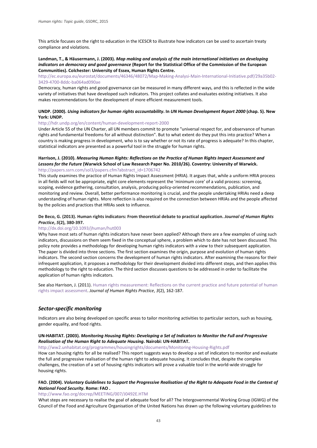This article focuses on the right to education in the ICESCR to illustrate how indicators can be used to ascertain treaty compliance and violations.

#### **Landman, T., & Häusermann, J. (2003).** *Map making and analysis of the main international initiatives on developing indicators on democracy and good governance* **(Report for the Statistical Office of the Commission of the European Communities). Colchester: University of Essex, Human Rights Centre.**

[http://ec.europa.eu/eurostat/documents/46346/48072/Map-Making-Analysi-Main-International-Initiative.pdf/29a35b02-](http://ec.europa.eu/eurostat/documents/46346/48072/Map-Making-Analysi-Main-International-Initiative.pdf/29a35b02-3429-4700-8ddc-ba064ad090ae) [3429-4700-8ddc-ba064ad090ae](http://ec.europa.eu/eurostat/documents/46346/48072/Map-Making-Analysi-Main-International-Initiative.pdf/29a35b02-3429-4700-8ddc-ba064ad090ae) 

Democracy, human rights and good governance can be measured in many different ways, and this is reflected in the wide variety of initiatives that have developed such indicators. This project collates and evaluates existing initiatives. It also makes recommendations for the development of more efficient measurement tools.

#### **UNDP. (2000).** *Using indicators for human rights accountability***. In** *UN Human Development Report 2000* **(chap. 5). New York: UNDP.**

#### <http://hdr.undp.org/en/content/human-development-report-2000>

Under Article 55 of the UN Charter, all UN members commit to promote "universal respect for, and observance of human rights and fundamental freedoms for all without distinction". But to what extent do they put this into practice? When a country is making progress in development, who is to say whether or not its rate of progress is adequate? In this chapter, statistical indicators are presented as a powerful tool in the struggle for human rights.

#### **Harrison, J. (2010).** *Measuring Human Rights: Reflections on the Practice of Human Rights Impact Assessment and Lessons for the Future* **(Warwick School of Law Research Paper No. 2010/26). Coventry: University of Warwick.**  [http://papers.ssrn.com/sol3/papers.cfm?abstract\\_id=1706742](http://papers.ssrn.com/sol3/papers.cfm?abstract_id=1706742)

This study examines the practice of Human Rights Impact Assessment (HRIA). It argues that, while a uniform HRIA process in all fields will not be appropriate, eight core elements represent the 'minimum core' of a valid process: screening, scoping, evidence gathering, consultation, analysis, producing policy-oriented recommendations, publication, and monitoring and review. Overall, better performance monitoring is crucial, and the people undertaking HRIAs need a deep understanding of human rights. More reflection is also required on the connection between HRIAs and the people affected by the policies and practices that HRIAs seek to influence.

#### **De Beco, G. (2013). Human rights indicators: From theoretical debate to practical application.** *Journal of Human Rights Practice***,** *5***(2), 380-397.**

#### <http://dx.doi.org/10.1093/jhuman/hut003>

Why have most sets of human rights indicators have never been applied? Although there are a few examples of using such indicators, discussions on them seem fixed in the conceptual sphere, a problem which to date has not been discussed. This policy note provides a methodology for developing human rights indicators with a view to their subsequent application. The paper is divided into three sections. The first section examines the origin, purpose and evolution of human rights indicators. The second section concerns the development of human rights indicators. After examining the reasons for their infrequent application, it proposes a methodology for their development divided into different steps, and then applies this methodology to the right to education. The third section discusses questions to be addressed in order to facilitate the application of human rights indicators.

See also Harrison, J. (2011). Human rights measurement: Reflections on the current practice and future potential of human [rights impact assessment.](http://jhrp.oxfordjournals.org/content/3/2/162.abstract) *Journal of Human Rights Practice*, *3*(2), 162-187.

#### *Sector-specific monitoring*

Indicators are also being developed on specific areas to tailor monitoring activities to particular sectors, such as housing, gender equality, and food rights.

#### **UN-HABITAT. (2003).** *Monitoring Housing Rights: Developing a Set of Indicators to Monitor the Full and Progressive Realisation of the Human Right to Adequate Housing***. Nairobi: UN-HABITAT.**

<http://ww2.unhabitat.org/programmes/housingrights/documents/Monitoring-Housing-Rights.pdf>

How can housing rights for all be realised? This report suggests ways to develop a set of indicators to monitor and evaluate the full and progressive realisation of the human right to adequate housing. It concludes that, despite the complex challenges, the creation of a set of housing rights indicators will prove a valuable tool in the world-wide struggle for housing rights.

#### **FAO. (2004).** *Voluntary Guidelines to Support the Progressive Realisation of the Right to Adequate Food in the Context of National Food Security***. Rome: FAO .**

<http://www.fao.org/docrep/MEETING/007/J0492E.HTM>

What steps are necessary to realise the goal of adequate food for all? The Intergovernmental Working Group (IGWG) of the Council of the Food and Agriculture Organisation of the United Nations has drawn up the following voluntary guidelines to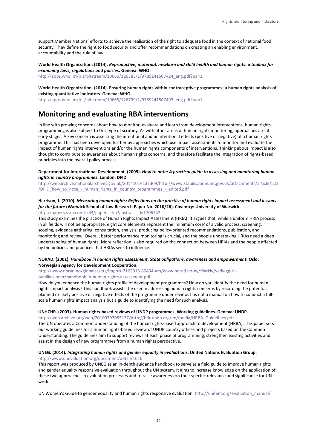support Member Nations' efforts to achieve the realisation of the right to adequate food in the context of national food security. They define the right to food security and offer recommendations on creating an enabling environment, accountability and the rule of law.

**World Health Organization. (2014).** *Reproductive, maternal, newborn and child health and human rights: a toolbox for examining laws, regulations and policies***. Geneva: WHO.** 

[http://apps.who.int/iris/bitstream/10665/126383/1/9789241507424\\_eng.pdf?ua=1](http://apps.who.int/iris/bitstream/10665/126383/1/9789241507424_eng.pdf?ua=1)

**World Health Organization. (2014). Ensuring human rights within contraceptive programmes: a human rights analysis of existing quantitative indicators. Geneva: WHO.** 

[http://apps.who.int/iris/bitstream/10665/126799/1/9789241507493\\_eng.pdf?ua=1](http://apps.who.int/iris/bitstream/10665/126799/1/9789241507493_eng.pdf?ua=1)

## **Monitoring and evaluating RBA interventions**

In line with growing concerns about how to monitor, evaluate and learn from development interventions, human rights programming is also subject to this type of scrutiny. As with other areas of human rights monitoring, approaches are at early stages. A key concern is assessing the intentional and unintentional effects (positive or negative) of a human rights programme. This has been developed further by approaches which use impact assessments to monitor and evaluate the impact of human rights interventions and/or the human rights components of interventions. Thinking about impact is also thought to contribute to awareness about human rights concerns, and therefore facilitate the integration of rights-based principles into the overall policy process.

#### **Department for International Development. (2009).** *How to note: A practical guide to assessing and monitoring human rights in country programmes***. London: DFID**

[http://webarchive.nationalarchives.gov.uk/20141014133309/http://www.stabilisationunit.gov.uk/attachments/article/523](http://webarchive.nationalarchives.gov.uk/20141014133309/http:/www.stabilisationunit.gov.uk/attachments/article/523/DFID_how_to_note_-_human_rights_in_country_programmes_-_edited.pdf) [/DFID\\_how\\_to\\_note\\_-\\_human\\_rights\\_in\\_country\\_programmes\\_-\\_edited.pdf](http://webarchive.nationalarchives.gov.uk/20141014133309/http:/www.stabilisationunit.gov.uk/attachments/article/523/DFID_how_to_note_-_human_rights_in_country_programmes_-_edited.pdf)

#### **Harrison, J. (2010).** *Measuring human rights: Reflections on the practice of human rights impact assessment and lessons for the future* **(Warwick School of Law Research Paper No. 2010/26). Coventry: University of Warwick.**

[http://papers.ssrn.com/sol3/papers.cfm?abstract\\_id=1706742](http://papers.ssrn.com/sol3/papers.cfm?abstract_id=1706742)

This study examines the practice of Human Rights Impact Assessment (HRIA). It argues that, while a uniform HRIA process in all fields will not be appropriate, eight core elements represent the 'minimum core' of a valid process: screening, scoping, evidence gathering, consultation, analysis, producing policy-oriented recommendations, publication, and monitoring and review. Overall, better performance monitoring is crucial, and the people undertaking HRIAs need a deep understanding of human rights. More reflection is also required on the connection between HRIAs and the people affected by the policies and practices that HRIAs seek to influence.

#### **NORAD. (2001).** *Handbook in human rights assessment. State obligations, awareness and empowerment***. Oslo: Norwegian Agency for Development Cooperation.**

#### [http://www.norad.no/globalassets/import-2162015-80434-am/www.norad.no-ny/filarkiv/vedlegg-til](http://www.norad.no/globalassets/import-2162015-80434-am/www.norad.no-ny/filarkiv/vedlegg-til-publikasjoner/handbook-in-human-rights-assessment.pdf)[publikasjoner/handbook-in-human-rights-assessment.pdf](http://www.norad.no/globalassets/import-2162015-80434-am/www.norad.no-ny/filarkiv/vedlegg-til-publikasjoner/handbook-in-human-rights-assessment.pdf)

How do you enhance the human rights profile of development programmes? How do you identify the need for human rights impact analysis? This handbook assists the user in addressing human rights concerns by recording the potential, planned or likely positive or negative effects of the programme under review. It is not a manual on how to conduct a fullscale human rights impact analysis but a guide to identifying the need for such analysis.

#### **UNHCHR. (2003). Human rights-based reviews of UNDP programmes. Working guidelines. Geneva: UNDP.**

[http://web.archive.org/web/20100707055137/http://hdr.undp.org/en/media/HRBA\\_Guidelines.pdf](http://web.archive.org/web/20100707055137/http:/hdr.undp.org/en/media/HRBA_Guidelines.pdf) The UN operates a Common Understanding of the human rights-based approach to development (HRBA). This paper sets out working guidelines for a human rights-based review of UNDP country offices and projects based on the Common Understanding. The guidelines aim to support reviews at each phase of programming, strengthen existing activities and assist in the design of new programmes from a human rights perspective.

#### **UNEG. (2014).** *Integrating human rights and gender equality in evaluations***. United Nations Evaluation Group.**  <http://www.unevaluation.org/document/detail/1616>

This report was produced by UNEG as an in-depth guidance handbook to serve as a field guide to improve human rights and gender equality responsive evaluation throughout the UN system. It aims to increase knowledge on the application of these two approaches in evaluation processes and to raise awareness on their specific relevance and significance for UN work.

UN Women's Guide to gender equality and human rights responsive evaluation: http://unifem.org/evaluation\_manual/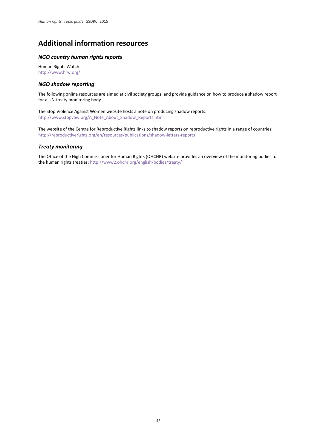## <span id="page-47-0"></span>**Additional information resources**

#### *NGO country human rights reports*

Human Rights Watch <http://www.hrw.org/>

#### *NGO shadow reporting*

The following online resources are aimed at civil society groups, and provide guidance on how to produce a shadow report for a UN treaty monitoring body.

The Stop Violence Against Women website hosts a note on producing shadow reports: [http://www.stopvaw.org/A\\_Note\\_About\\_Shadow\\_Reports.html](http://www.stopvaw.org/A_Note_About_Shadow_Reports.html)

The website of the Centre for Reproductive Rights links to shadow reports on reproductive rights in a range of countries: <http://reproductiverights.org/en/resources/publications/shadow-letters-reports>

#### *Treaty monitoring*

The Office of the High Commissioner for Human Rights (OHCHR) website provides an overview of the monitoring bodies for the human rights treaties[: http://www2.ohchr.org/english/bodies/treaty/](http://www2.ohchr.org/english/bodies/treaty/)